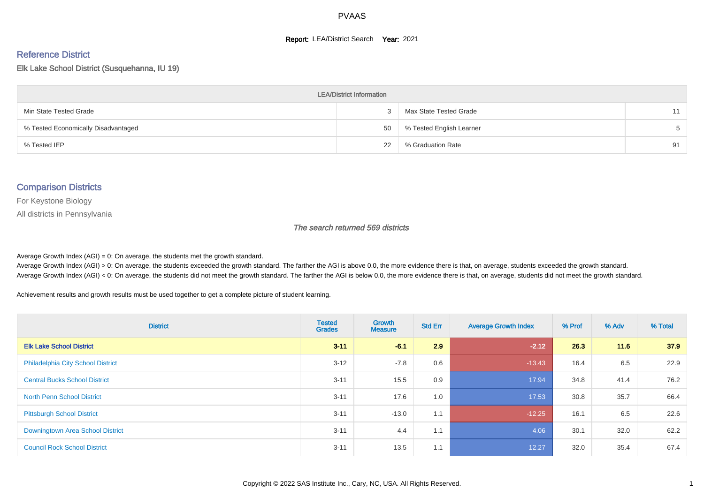#### **Report: LEA/District Search Year: 2021**

#### Reference District

Elk Lake School District (Susquehanna, IU 19)

| <b>LEA/District Information</b>     |    |                          |    |  |  |  |  |  |  |
|-------------------------------------|----|--------------------------|----|--|--|--|--|--|--|
| Min State Tested Grade              |    | Max State Tested Grade   | 11 |  |  |  |  |  |  |
| % Tested Economically Disadvantaged | 50 | % Tested English Learner |    |  |  |  |  |  |  |
| % Tested IEP                        | 22 | % Graduation Rate        | 91 |  |  |  |  |  |  |

#### Comparison Districts

For Keystone Biology

All districts in Pennsylvania

The search returned 569 districts

Average Growth Index  $(AGI) = 0$ : On average, the students met the growth standard.

Average Growth Index (AGI) > 0: On average, the students exceeded the growth standard. The farther the AGI is above 0.0, the more evidence there is that, on average, students exceeded the growth standard. Average Growth Index (AGI) < 0: On average, the students did not meet the growth standard. The farther the AGI is below 0.0, the more evidence there is that, on average, students did not meet the growth standard.

Achievement results and growth results must be used together to get a complete picture of student learning.

| <b>District</b>                          | <b>Tested</b><br><b>Grades</b> | <b>Growth</b><br><b>Measure</b> | <b>Std Err</b> | <b>Average Growth Index</b> | % Prof | % Adv | % Total |
|------------------------------------------|--------------------------------|---------------------------------|----------------|-----------------------------|--------|-------|---------|
| <b>Elk Lake School District</b>          | $3 - 11$                       | $-6.1$                          | 2.9            | $-2.12$                     | 26.3   | 11.6  | 37.9    |
| <b>Philadelphia City School District</b> | $3 - 12$                       | $-7.8$                          | 0.6            | $-13.43$                    | 16.4   | 6.5   | 22.9    |
| <b>Central Bucks School District</b>     | $3 - 11$                       | 15.5                            | 0.9            | 17.94                       | 34.8   | 41.4  | 76.2    |
| <b>North Penn School District</b>        | $3 - 11$                       | 17.6                            | 1.0            | 17.53                       | 30.8   | 35.7  | 66.4    |
| <b>Pittsburgh School District</b>        | $3 - 11$                       | $-13.0$                         | 1.1            | $-12.25$                    | 16.1   | 6.5   | 22.6    |
| Downingtown Area School District         | $3 - 11$                       | 4.4                             | 1.1            | 4.06                        | 30.1   | 32.0  | 62.2    |
| <b>Council Rock School District</b>      | $3 - 11$                       | 13.5                            | 1.1            | 12.27                       | 32.0   | 35.4  | 67.4    |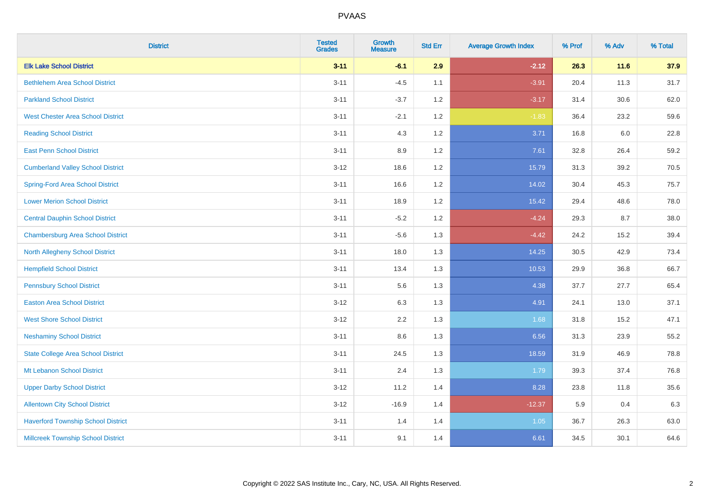| <b>District</b>                           | <b>Tested</b><br><b>Grades</b> | <b>Growth</b><br><b>Measure</b> | <b>Std Err</b> | <b>Average Growth Index</b> | % Prof | % Adv | % Total |
|-------------------------------------------|--------------------------------|---------------------------------|----------------|-----------------------------|--------|-------|---------|
| <b>Elk Lake School District</b>           | $3 - 11$                       | $-6.1$                          | 2.9            | $-2.12$                     | 26.3   | 11.6  | 37.9    |
| <b>Bethlehem Area School District</b>     | $3 - 11$                       | $-4.5$                          | 1.1            | $-3.91$                     | 20.4   | 11.3  | 31.7    |
| <b>Parkland School District</b>           | $3 - 11$                       | $-3.7$                          | 1.2            | $-3.17$                     | 31.4   | 30.6  | 62.0    |
| <b>West Chester Area School District</b>  | $3 - 11$                       | $-2.1$                          | 1.2            | $-1.83$                     | 36.4   | 23.2  | 59.6    |
| <b>Reading School District</b>            | $3 - 11$                       | 4.3                             | 1.2            | 3.71                        | 16.8   | 6.0   | 22.8    |
| <b>East Penn School District</b>          | $3 - 11$                       | 8.9                             | 1.2            | 7.61                        | 32.8   | 26.4  | 59.2    |
| <b>Cumberland Valley School District</b>  | $3 - 12$                       | 18.6                            | 1.2            | 15.79                       | 31.3   | 39.2  | 70.5    |
| <b>Spring-Ford Area School District</b>   | $3 - 11$                       | 16.6                            | 1.2            | 14.02                       | 30.4   | 45.3  | 75.7    |
| <b>Lower Merion School District</b>       | $3 - 11$                       | 18.9                            | 1.2            | 15.42                       | 29.4   | 48.6  | 78.0    |
| <b>Central Dauphin School District</b>    | $3 - 11$                       | $-5.2$                          | 1.2            | $-4.24$                     | 29.3   | 8.7   | 38.0    |
| <b>Chambersburg Area School District</b>  | $3 - 11$                       | $-5.6$                          | 1.3            | $-4.42$                     | 24.2   | 15.2  | 39.4    |
| <b>North Allegheny School District</b>    | $3 - 11$                       | 18.0                            | 1.3            | 14.25                       | 30.5   | 42.9  | 73.4    |
| <b>Hempfield School District</b>          | $3 - 11$                       | 13.4                            | 1.3            | 10.53                       | 29.9   | 36.8  | 66.7    |
| <b>Pennsbury School District</b>          | $3 - 11$                       | 5.6                             | 1.3            | 4.38                        | 37.7   | 27.7  | 65.4    |
| <b>Easton Area School District</b>        | $3 - 12$                       | 6.3                             | 1.3            | 4.91                        | 24.1   | 13.0  | 37.1    |
| <b>West Shore School District</b>         | $3 - 12$                       | 2.2                             | 1.3            | 1.68                        | 31.8   | 15.2  | 47.1    |
| <b>Neshaminy School District</b>          | $3 - 11$                       | 8.6                             | 1.3            | 6.56                        | 31.3   | 23.9  | 55.2    |
| <b>State College Area School District</b> | $3 - 11$                       | 24.5                            | 1.3            | 18.59                       | 31.9   | 46.9  | 78.8    |
| Mt Lebanon School District                | $3 - 11$                       | 2.4                             | 1.3            | 1.79                        | 39.3   | 37.4  | 76.8    |
| <b>Upper Darby School District</b>        | $3 - 12$                       | 11.2                            | 1.4            | 8.28                        | 23.8   | 11.8  | 35.6    |
| <b>Allentown City School District</b>     | $3 - 12$                       | $-16.9$                         | 1.4            | $-12.37$                    | 5.9    | 0.4   | 6.3     |
| <b>Haverford Township School District</b> | $3 - 11$                       | 1.4                             | 1.4            | 1.05                        | 36.7   | 26.3  | 63.0    |
| <b>Millcreek Township School District</b> | $3 - 11$                       | 9.1                             | 1.4            | 6.61                        | 34.5   | 30.1  | 64.6    |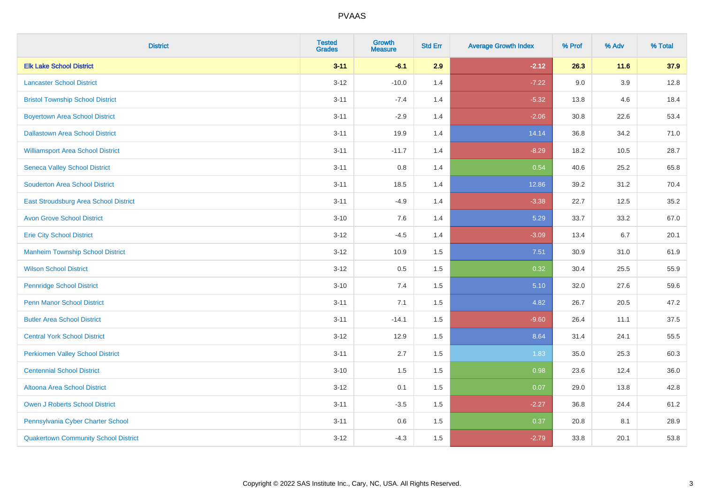| <b>District</b>                              | <b>Tested</b><br><b>Grades</b> | <b>Growth</b><br><b>Measure</b> | <b>Std Err</b> | <b>Average Growth Index</b> | % Prof | % Adv  | % Total |
|----------------------------------------------|--------------------------------|---------------------------------|----------------|-----------------------------|--------|--------|---------|
| <b>Elk Lake School District</b>              | $3 - 11$                       | $-6.1$                          | 2.9            | $-2.12$                     | 26.3   | $11.6$ | 37.9    |
| <b>Lancaster School District</b>             | $3 - 12$                       | $-10.0$                         | 1.4            | $-7.22$                     | 9.0    | 3.9    | 12.8    |
| <b>Bristol Township School District</b>      | $3 - 11$                       | $-7.4$                          | 1.4            | $-5.32$                     | 13.8   | 4.6    | 18.4    |
| <b>Boyertown Area School District</b>        | $3 - 11$                       | $-2.9$                          | 1.4            | $-2.06$                     | 30.8   | 22.6   | 53.4    |
| <b>Dallastown Area School District</b>       | $3 - 11$                       | 19.9                            | 1.4            | 14.14                       | 36.8   | 34.2   | 71.0    |
| <b>Williamsport Area School District</b>     | $3 - 11$                       | $-11.7$                         | 1.4            | $-8.29$                     | 18.2   | 10.5   | 28.7    |
| <b>Seneca Valley School District</b>         | $3 - 11$                       | $0.8\,$                         | 1.4            | 0.54                        | 40.6   | 25.2   | 65.8    |
| <b>Souderton Area School District</b>        | $3 - 11$                       | 18.5                            | 1.4            | 12.86                       | 39.2   | 31.2   | 70.4    |
| <b>East Stroudsburg Area School District</b> | $3 - 11$                       | $-4.9$                          | 1.4            | $-3.38$                     | 22.7   | 12.5   | 35.2    |
| <b>Avon Grove School District</b>            | $3 - 10$                       | $7.6\,$                         | 1.4            | 5.29                        | 33.7   | 33.2   | 67.0    |
| <b>Erie City School District</b>             | $3 - 12$                       | $-4.5$                          | 1.4            | $-3.09$                     | 13.4   | 6.7    | 20.1    |
| <b>Manheim Township School District</b>      | $3 - 12$                       | 10.9                            | 1.5            | 7.51                        | 30.9   | 31.0   | 61.9    |
| <b>Wilson School District</b>                | $3 - 12$                       | $0.5\,$                         | 1.5            | 0.32                        | 30.4   | 25.5   | 55.9    |
| <b>Pennridge School District</b>             | $3 - 10$                       | 7.4                             | 1.5            | 5.10                        | 32.0   | 27.6   | 59.6    |
| <b>Penn Manor School District</b>            | $3 - 11$                       | 7.1                             | 1.5            | 4.82                        | 26.7   | 20.5   | 47.2    |
| <b>Butler Area School District</b>           | $3 - 11$                       | $-14.1$                         | 1.5            | $-9.60$                     | 26.4   | 11.1   | 37.5    |
| <b>Central York School District</b>          | $3 - 12$                       | 12.9                            | 1.5            | 8.64                        | 31.4   | 24.1   | 55.5    |
| <b>Perkiomen Valley School District</b>      | $3 - 11$                       | 2.7                             | 1.5            | 1.83                        | 35.0   | 25.3   | 60.3    |
| <b>Centennial School District</b>            | $3 - 10$                       | 1.5                             | 1.5            | 0.98                        | 23.6   | 12.4   | 36.0    |
| <b>Altoona Area School District</b>          | $3 - 12$                       | 0.1                             | 1.5            | 0.07                        | 29.0   | 13.8   | 42.8    |
| <b>Owen J Roberts School District</b>        | $3 - 11$                       | $-3.5$                          | 1.5            | $-2.27$                     | 36.8   | 24.4   | 61.2    |
| Pennsylvania Cyber Charter School            | $3 - 11$                       | 0.6                             | 1.5            | 0.37                        | 20.8   | 8.1    | 28.9    |
| <b>Quakertown Community School District</b>  | $3 - 12$                       | $-4.3$                          | 1.5            | $-2.79$                     | 33.8   | 20.1   | 53.8    |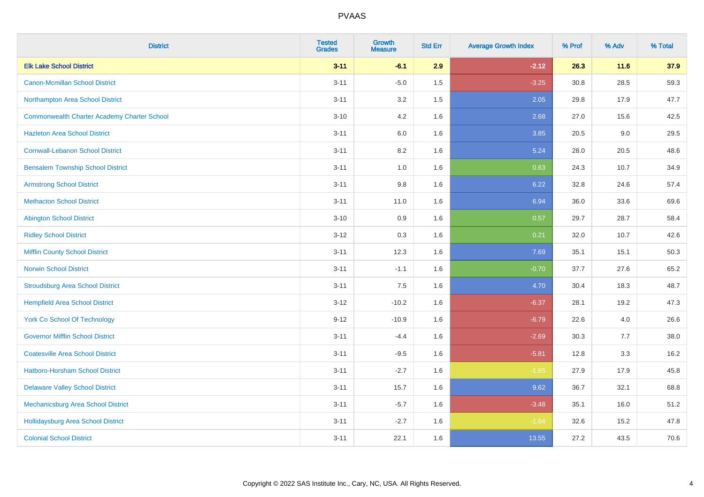| <b>District</b>                                    | <b>Tested</b><br><b>Grades</b> | <b>Growth</b><br><b>Measure</b> | <b>Std Err</b> | <b>Average Growth Index</b> | % Prof | % Adv | % Total |
|----------------------------------------------------|--------------------------------|---------------------------------|----------------|-----------------------------|--------|-------|---------|
| <b>Elk Lake School District</b>                    | $3 - 11$                       | $-6.1$                          | 2.9            | $-2.12$                     | 26.3   | 11.6  | 37.9    |
| <b>Canon-Mcmillan School District</b>              | $3 - 11$                       | $-5.0$                          | 1.5            | $-3.25$                     | 30.8   | 28.5  | 59.3    |
| Northampton Area School District                   | $3 - 11$                       | 3.2                             | 1.5            | 2.05                        | 29.8   | 17.9  | 47.7    |
| <b>Commonwealth Charter Academy Charter School</b> | $3 - 10$                       | 4.2                             | 1.6            | 2.68                        | 27.0   | 15.6  | 42.5    |
| <b>Hazleton Area School District</b>               | $3 - 11$                       | 6.0                             | 1.6            | 3.85                        | 20.5   | 9.0   | 29.5    |
| <b>Cornwall-Lebanon School District</b>            | $3 - 11$                       | 8.2                             | 1.6            | 5.24                        | 28.0   | 20.5  | 48.6    |
| <b>Bensalem Township School District</b>           | $3 - 11$                       | 1.0                             | 1.6            | 0.63                        | 24.3   | 10.7  | 34.9    |
| <b>Armstrong School District</b>                   | $3 - 11$                       | $9.8\,$                         | 1.6            | 6.22                        | 32.8   | 24.6  | 57.4    |
| <b>Methacton School District</b>                   | $3 - 11$                       | 11.0                            | 1.6            | 6.94                        | 36.0   | 33.6  | 69.6    |
| <b>Abington School District</b>                    | $3 - 10$                       | 0.9                             | 1.6            | 0.57                        | 29.7   | 28.7  | 58.4    |
| <b>Ridley School District</b>                      | $3 - 12$                       | 0.3                             | 1.6            | 0.21                        | 32.0   | 10.7  | 42.6    |
| <b>Mifflin County School District</b>              | $3 - 11$                       | 12.3                            | 1.6            | 7.69                        | 35.1   | 15.1  | 50.3    |
| <b>Norwin School District</b>                      | $3 - 11$                       | $-1.1$                          | 1.6            | $-0.70$                     | 37.7   | 27.6  | 65.2    |
| <b>Stroudsburg Area School District</b>            | $3 - 11$                       | 7.5                             | 1.6            | 4.70                        | 30.4   | 18.3  | 48.7    |
| <b>Hempfield Area School District</b>              | $3 - 12$                       | $-10.2$                         | 1.6            | $-6.37$                     | 28.1   | 19.2  | 47.3    |
| <b>York Co School Of Technology</b>                | $9 - 12$                       | $-10.9$                         | 1.6            | $-6.79$                     | 22.6   | 4.0   | 26.6    |
| <b>Governor Mifflin School District</b>            | $3 - 11$                       | $-4.4$                          | 1.6            | $-2.69$                     | 30.3   | 7.7   | 38.0    |
| <b>Coatesville Area School District</b>            | $3 - 11$                       | $-9.5$                          | 1.6            | $-5.81$                     | 12.8   | 3.3   | 16.2    |
| <b>Hatboro-Horsham School District</b>             | $3 - 11$                       | $-2.7$                          | 1.6            | $-1.65$                     | 27.9   | 17.9  | 45.8    |
| <b>Delaware Valley School District</b>             | $3 - 11$                       | 15.7                            | 1.6            | 9.62                        | 36.7   | 32.1  | 68.8    |
| Mechanicsburg Area School District                 | $3 - 11$                       | $-5.7$                          | 1.6            | $-3.48$                     | 35.1   | 16.0  | 51.2    |
| <b>Hollidaysburg Area School District</b>          | $3 - 11$                       | $-2.7$                          | 1.6            | $-1.64$                     | 32.6   | 15.2  | 47.8    |
| <b>Colonial School District</b>                    | $3 - 11$                       | 22.1                            | 1.6            | 13.55                       | 27.2   | 43.5  | 70.6    |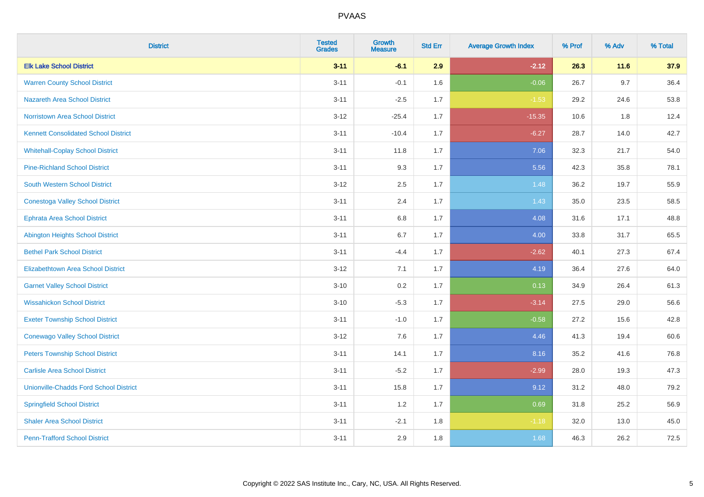| <b>District</b>                               | <b>Tested</b><br><b>Grades</b> | <b>Growth</b><br><b>Measure</b> | <b>Std Err</b> | <b>Average Growth Index</b> | % Prof | % Adv | % Total |
|-----------------------------------------------|--------------------------------|---------------------------------|----------------|-----------------------------|--------|-------|---------|
| <b>Elk Lake School District</b>               | $3 - 11$                       | $-6.1$                          | 2.9            | $-2.12$                     | 26.3   | 11.6  | 37.9    |
| <b>Warren County School District</b>          | $3 - 11$                       | $-0.1$                          | 1.6            | $-0.06$                     | 26.7   | 9.7   | 36.4    |
| <b>Nazareth Area School District</b>          | $3 - 11$                       | $-2.5$                          | 1.7            | $-1.53$                     | 29.2   | 24.6  | 53.8    |
| Norristown Area School District               | $3 - 12$                       | $-25.4$                         | 1.7            | $-15.35$                    | 10.6   | $1.8$ | 12.4    |
| <b>Kennett Consolidated School District</b>   | $3 - 11$                       | $-10.4$                         | 1.7            | $-6.27$                     | 28.7   | 14.0  | 42.7    |
| <b>Whitehall-Coplay School District</b>       | $3 - 11$                       | 11.8                            | 1.7            | 7.06                        | 32.3   | 21.7  | 54.0    |
| <b>Pine-Richland School District</b>          | $3 - 11$                       | 9.3                             | 1.7            | 5.56                        | 42.3   | 35.8  | 78.1    |
| <b>South Western School District</b>          | $3 - 12$                       | 2.5                             | 1.7            | 1.48                        | 36.2   | 19.7  | 55.9    |
| <b>Conestoga Valley School District</b>       | $3 - 11$                       | 2.4                             | 1.7            | 1.43                        | 35.0   | 23.5  | 58.5    |
| <b>Ephrata Area School District</b>           | $3 - 11$                       | $6.8\,$                         | 1.7            | 4.08                        | 31.6   | 17.1  | 48.8    |
| <b>Abington Heights School District</b>       | $3 - 11$                       | 6.7                             | 1.7            | 4.00                        | 33.8   | 31.7  | 65.5    |
| <b>Bethel Park School District</b>            | $3 - 11$                       | $-4.4$                          | 1.7            | $-2.62$                     | 40.1   | 27.3  | 67.4    |
| Elizabethtown Area School District            | $3 - 12$                       | 7.1                             | 1.7            | 4.19                        | 36.4   | 27.6  | 64.0    |
| <b>Garnet Valley School District</b>          | $3 - 10$                       | 0.2                             | 1.7            | 0.13                        | 34.9   | 26.4  | 61.3    |
| <b>Wissahickon School District</b>            | $3 - 10$                       | $-5.3$                          | 1.7            | $-3.14$                     | 27.5   | 29.0  | 56.6    |
| <b>Exeter Township School District</b>        | $3 - 11$                       | $-1.0$                          | 1.7            | $-0.58$                     | 27.2   | 15.6  | 42.8    |
| <b>Conewago Valley School District</b>        | $3 - 12$                       | 7.6                             | 1.7            | 4.46                        | 41.3   | 19.4  | 60.6    |
| <b>Peters Township School District</b>        | $3 - 11$                       | 14.1                            | 1.7            | 8.16                        | 35.2   | 41.6  | 76.8    |
| <b>Carlisle Area School District</b>          | $3 - 11$                       | $-5.2$                          | 1.7            | $-2.99$                     | 28.0   | 19.3  | 47.3    |
| <b>Unionville-Chadds Ford School District</b> | $3 - 11$                       | 15.8                            | 1.7            | 9.12                        | 31.2   | 48.0  | 79.2    |
| <b>Springfield School District</b>            | $3 - 11$                       | 1.2                             | 1.7            | 0.69                        | 31.8   | 25.2  | 56.9    |
| <b>Shaler Area School District</b>            | $3 - 11$                       | $-2.1$                          | 1.8            | $-1.18$                     | 32.0   | 13.0  | 45.0    |
| <b>Penn-Trafford School District</b>          | $3 - 11$                       | 2.9                             | 1.8            | 1.68                        | 46.3   | 26.2  | 72.5    |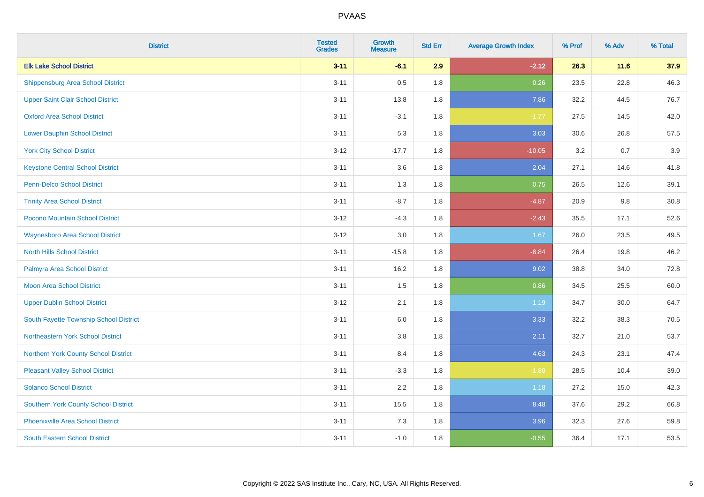| <b>District</b>                             | <b>Tested</b><br><b>Grades</b> | <b>Growth</b><br><b>Measure</b> | <b>Std Err</b> | <b>Average Growth Index</b> | % Prof | % Adv | % Total |
|---------------------------------------------|--------------------------------|---------------------------------|----------------|-----------------------------|--------|-------|---------|
| <b>Elk Lake School District</b>             | $3 - 11$                       | $-6.1$                          | 2.9            | $-2.12$                     | 26.3   | 11.6  | 37.9    |
| <b>Shippensburg Area School District</b>    | $3 - 11$                       | 0.5                             | 1.8            | 0.26                        | 23.5   | 22.8  | 46.3    |
| <b>Upper Saint Clair School District</b>    | $3 - 11$                       | 13.8                            | 1.8            | 7.86                        | 32.2   | 44.5  | 76.7    |
| <b>Oxford Area School District</b>          | $3 - 11$                       | $-3.1$                          | 1.8            | $-1.77$                     | 27.5   | 14.5  | 42.0    |
| <b>Lower Dauphin School District</b>        | $3 - 11$                       | 5.3                             | 1.8            | 3.03                        | 30.6   | 26.8  | 57.5    |
| <b>York City School District</b>            | $3 - 12$                       | $-17.7$                         | 1.8            | $-10.05$                    | 3.2    | 0.7   | 3.9     |
| <b>Keystone Central School District</b>     | $3 - 11$                       | 3.6                             | 1.8            | 2.04                        | 27.1   | 14.6  | 41.8    |
| <b>Penn-Delco School District</b>           | $3 - 11$                       | 1.3                             | 1.8            | 0.75                        | 26.5   | 12.6  | 39.1    |
| <b>Trinity Area School District</b>         | $3 - 11$                       | $-8.7$                          | 1.8            | $-4.87$                     | 20.9   | 9.8   | 30.8    |
| Pocono Mountain School District             | $3 - 12$                       | $-4.3$                          | 1.8            | $-2.43$                     | 35.5   | 17.1  | 52.6    |
| <b>Waynesboro Area School District</b>      | $3 - 12$                       | 3.0                             | 1.8            | 1.67                        | 26.0   | 23.5  | 49.5    |
| <b>North Hills School District</b>          | $3 - 11$                       | $-15.8$                         | 1.8            | $-8.84$                     | 26.4   | 19.8  | 46.2    |
| Palmyra Area School District                | $3 - 11$                       | 16.2                            | 1.8            | 9.02                        | 38.8   | 34.0  | 72.8    |
| <b>Moon Area School District</b>            | $3 - 11$                       | 1.5                             | 1.8            | 0.86                        | 34.5   | 25.5  | 60.0    |
| <b>Upper Dublin School District</b>         | $3 - 12$                       | 2.1                             | 1.8            | 1.19                        | 34.7   | 30.0  | 64.7    |
| South Fayette Township School District      | $3 - 11$                       | 6.0                             | 1.8            | 3.33                        | 32.2   | 38.3  | 70.5    |
| Northeastern York School District           | $3 - 11$                       | 3.8                             | 1.8            | 2.11                        | 32.7   | 21.0  | 53.7    |
| Northern York County School District        | $3 - 11$                       | 8.4                             | 1.8            | 4.63                        | 24.3   | 23.1  | 47.4    |
| <b>Pleasant Valley School District</b>      | $3 - 11$                       | $-3.3$                          | 1.8            | $-1.80$                     | 28.5   | 10.4  | 39.0    |
| <b>Solanco School District</b>              | $3 - 11$                       | 2.2                             | 1.8            | 1.18                        | 27.2   | 15.0  | 42.3    |
| <b>Southern York County School District</b> | $3 - 11$                       | 15.5                            | 1.8            | 8.48                        | 37.6   | 29.2  | 66.8    |
| <b>Phoenixville Area School District</b>    | $3 - 11$                       | 7.3                             | 1.8            | 3.96                        | 32.3   | 27.6  | 59.8    |
| <b>South Eastern School District</b>        | $3 - 11$                       | $-1.0$                          | 1.8            | $-0.55$                     | 36.4   | 17.1  | 53.5    |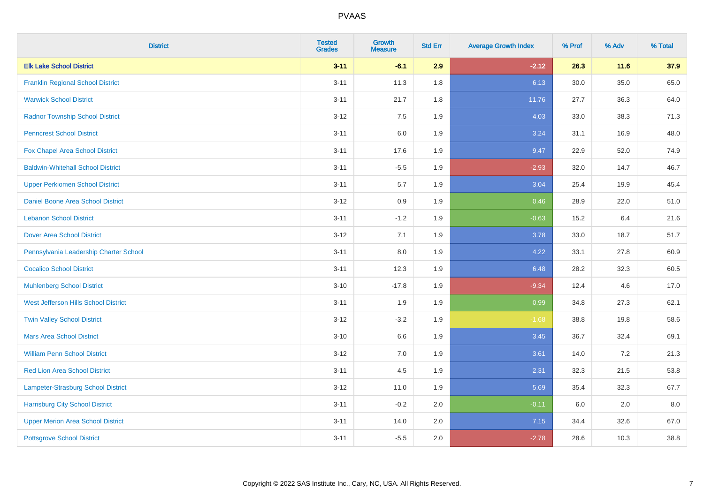| <b>District</b>                          | <b>Tested</b><br><b>Grades</b> | <b>Growth</b><br><b>Measure</b> | <b>Std Err</b> | <b>Average Growth Index</b> | % Prof | % Adv | % Total |
|------------------------------------------|--------------------------------|---------------------------------|----------------|-----------------------------|--------|-------|---------|
| <b>Elk Lake School District</b>          | $3 - 11$                       | $-6.1$                          | 2.9            | $-2.12$                     | 26.3   | 11.6  | 37.9    |
| <b>Franklin Regional School District</b> | $3 - 11$                       | 11.3                            | 1.8            | 6.13                        | 30.0   | 35.0  | 65.0    |
| <b>Warwick School District</b>           | $3 - 11$                       | 21.7                            | 1.8            | 11.76                       | 27.7   | 36.3  | 64.0    |
| <b>Radnor Township School District</b>   | $3 - 12$                       | 7.5                             | 1.9            | 4.03                        | 33.0   | 38.3  | 71.3    |
| <b>Penncrest School District</b>         | $3 - 11$                       | 6.0                             | 1.9            | 3.24                        | 31.1   | 16.9  | 48.0    |
| Fox Chapel Area School District          | $3 - 11$                       | 17.6                            | 1.9            | 9.47                        | 22.9   | 52.0  | 74.9    |
| <b>Baldwin-Whitehall School District</b> | $3 - 11$                       | $-5.5$                          | 1.9            | $-2.93$                     | 32.0   | 14.7  | 46.7    |
| <b>Upper Perkiomen School District</b>   | $3 - 11$                       | 5.7                             | 1.9            | 3.04                        | 25.4   | 19.9  | 45.4    |
| <b>Daniel Boone Area School District</b> | $3 - 12$                       | 0.9                             | 1.9            | 0.46                        | 28.9   | 22.0  | 51.0    |
| <b>Lebanon School District</b>           | $3 - 11$                       | $-1.2$                          | 1.9            | $-0.63$                     | 15.2   | 6.4   | 21.6    |
| <b>Dover Area School District</b>        | $3 - 12$                       | 7.1                             | 1.9            | 3.78                        | 33.0   | 18.7  | 51.7    |
| Pennsylvania Leadership Charter School   | $3 - 11$                       | 8.0                             | 1.9            | 4.22                        | 33.1   | 27.8  | 60.9    |
| <b>Cocalico School District</b>          | $3 - 11$                       | 12.3                            | 1.9            | 6.48                        | 28.2   | 32.3  | 60.5    |
| <b>Muhlenberg School District</b>        | $3 - 10$                       | $-17.8$                         | 1.9            | $-9.34$                     | 12.4   | 4.6   | 17.0    |
| West Jefferson Hills School District     | $3 - 11$                       | 1.9                             | 1.9            | 0.99                        | 34.8   | 27.3  | 62.1    |
| <b>Twin Valley School District</b>       | $3 - 12$                       | $-3.2$                          | 1.9            | $-1.68$                     | 38.8   | 19.8  | 58.6    |
| <b>Mars Area School District</b>         | $3 - 10$                       | 6.6                             | 1.9            | 3.45                        | 36.7   | 32.4  | 69.1    |
| <b>William Penn School District</b>      | $3 - 12$                       | 7.0                             | 1.9            | 3.61                        | 14.0   | 7.2   | 21.3    |
| <b>Red Lion Area School District</b>     | $3 - 11$                       | 4.5                             | 1.9            | 2.31                        | 32.3   | 21.5  | 53.8    |
| Lampeter-Strasburg School District       | $3 - 12$                       | 11.0                            | 1.9            | 5.69                        | 35.4   | 32.3  | 67.7    |
| <b>Harrisburg City School District</b>   | $3 - 11$                       | $-0.2$                          | 2.0            | $-0.11$                     | 6.0    | 2.0   | 8.0     |
| <b>Upper Merion Area School District</b> | $3 - 11$                       | 14.0                            | 2.0            | 7.15                        | 34.4   | 32.6  | 67.0    |
| <b>Pottsgrove School District</b>        | $3 - 11$                       | $-5.5$                          | 2.0            | $-2.78$                     | 28.6   | 10.3  | 38.8    |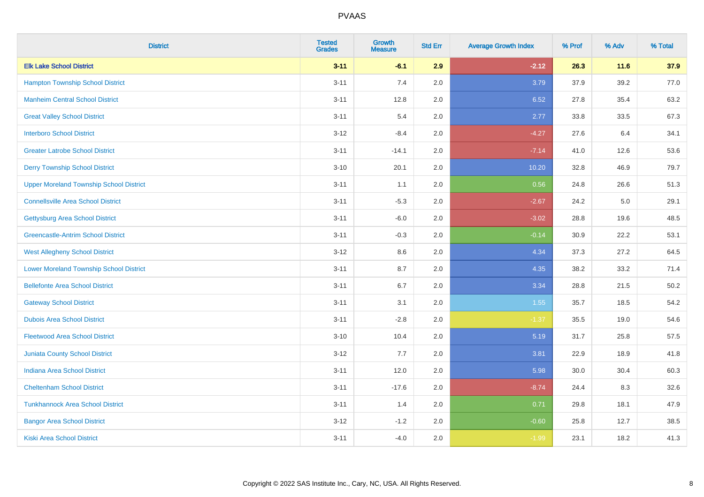| <b>District</b>                                | <b>Tested</b><br><b>Grades</b> | <b>Growth</b><br><b>Measure</b> | <b>Std Err</b> | <b>Average Growth Index</b> | % Prof | % Adv  | % Total |
|------------------------------------------------|--------------------------------|---------------------------------|----------------|-----------------------------|--------|--------|---------|
| <b>Elk Lake School District</b>                | $3 - 11$                       | $-6.1$                          | 2.9            | $-2.12$                     | 26.3   | $11.6$ | 37.9    |
| <b>Hampton Township School District</b>        | $3 - 11$                       | 7.4                             | 2.0            | 3.79                        | 37.9   | 39.2   | 77.0    |
| <b>Manheim Central School District</b>         | $3 - 11$                       | 12.8                            | 2.0            | 6.52                        | 27.8   | 35.4   | 63.2    |
| <b>Great Valley School District</b>            | $3 - 11$                       | 5.4                             | 2.0            | 2.77                        | 33.8   | 33.5   | 67.3    |
| <b>Interboro School District</b>               | $3-12$                         | $-8.4$                          | 2.0            | $-4.27$                     | 27.6   | 6.4    | 34.1    |
| <b>Greater Latrobe School District</b>         | $3 - 11$                       | $-14.1$                         | 2.0            | $-7.14$                     | 41.0   | 12.6   | 53.6    |
| <b>Derry Township School District</b>          | $3 - 10$                       | 20.1                            | 2.0            | 10.20                       | 32.8   | 46.9   | 79.7    |
| <b>Upper Moreland Township School District</b> | $3 - 11$                       | 1.1                             | 2.0            | 0.56                        | 24.8   | 26.6   | 51.3    |
| <b>Connellsville Area School District</b>      | $3 - 11$                       | $-5.3$                          | 2.0            | $-2.67$                     | 24.2   | 5.0    | 29.1    |
| <b>Gettysburg Area School District</b>         | $3 - 11$                       | $-6.0$                          | 2.0            | $-3.02$                     | 28.8   | 19.6   | 48.5    |
| <b>Greencastle-Antrim School District</b>      | $3 - 11$                       | $-0.3$                          | 2.0            | $-0.14$                     | 30.9   | 22.2   | 53.1    |
| <b>West Allegheny School District</b>          | $3 - 12$                       | 8.6                             | 2.0            | 4.34                        | 37.3   | 27.2   | 64.5    |
| <b>Lower Moreland Township School District</b> | $3 - 11$                       | 8.7                             | 2.0            | 4.35                        | 38.2   | 33.2   | 71.4    |
| <b>Bellefonte Area School District</b>         | $3 - 11$                       | 6.7                             | 2.0            | 3.34                        | 28.8   | 21.5   | 50.2    |
| <b>Gateway School District</b>                 | $3 - 11$                       | 3.1                             | 2.0            | 1.55                        | 35.7   | 18.5   | 54.2    |
| <b>Dubois Area School District</b>             | $3 - 11$                       | $-2.8$                          | 2.0            | $-1.37$                     | 35.5   | 19.0   | 54.6    |
| <b>Fleetwood Area School District</b>          | $3 - 10$                       | 10.4                            | 2.0            | 5.19                        | 31.7   | 25.8   | 57.5    |
| Juniata County School District                 | $3 - 12$                       | 7.7                             | 2.0            | 3.81                        | 22.9   | 18.9   | 41.8    |
| <b>Indiana Area School District</b>            | $3 - 11$                       | 12.0                            | 2.0            | 5.98                        | 30.0   | 30.4   | 60.3    |
| <b>Cheltenham School District</b>              | $3 - 11$                       | $-17.6$                         | 2.0            | $-8.74$                     | 24.4   | 8.3    | 32.6    |
| <b>Tunkhannock Area School District</b>        | $3 - 11$                       | 1.4                             | 2.0            | 0.71                        | 29.8   | 18.1   | 47.9    |
| <b>Bangor Area School District</b>             | $3 - 12$                       | $-1.2$                          | 2.0            | $-0.60$                     | 25.8   | 12.7   | 38.5    |
| <b>Kiski Area School District</b>              | $3 - 11$                       | $-4.0$                          | 2.0            | $-1.99$                     | 23.1   | 18.2   | 41.3    |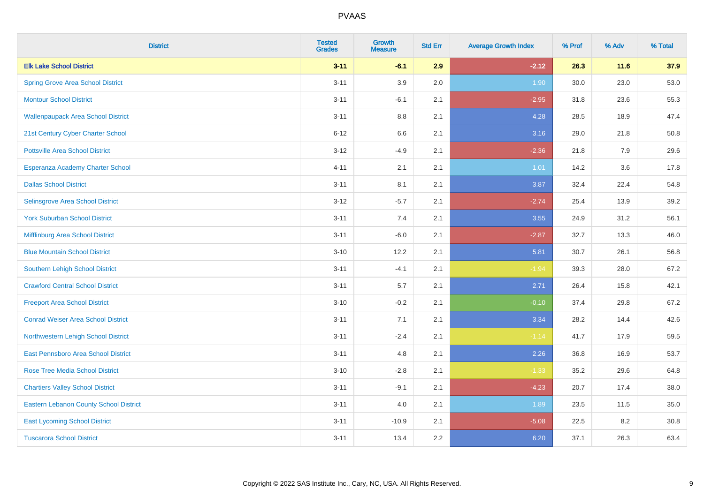| <b>District</b>                               | <b>Tested</b><br><b>Grades</b> | <b>Growth</b><br><b>Measure</b> | <b>Std Err</b> | <b>Average Growth Index</b> | % Prof | % Adv  | % Total |
|-----------------------------------------------|--------------------------------|---------------------------------|----------------|-----------------------------|--------|--------|---------|
| <b>Elk Lake School District</b>               | $3 - 11$                       | $-6.1$                          | 2.9            | $-2.12$                     | 26.3   | $11.6$ | 37.9    |
| <b>Spring Grove Area School District</b>      | $3 - 11$                       | 3.9                             | 2.0            | 1.90                        | 30.0   | 23.0   | 53.0    |
| <b>Montour School District</b>                | $3 - 11$                       | $-6.1$                          | 2.1            | $-2.95$                     | 31.8   | 23.6   | 55.3    |
| <b>Wallenpaupack Area School District</b>     | $3 - 11$                       | $8.8\,$                         | 2.1            | 4.28                        | 28.5   | 18.9   | 47.4    |
| 21st Century Cyber Charter School             | $6 - 12$                       | 6.6                             | 2.1            | 3.16                        | 29.0   | 21.8   | 50.8    |
| <b>Pottsville Area School District</b>        | $3 - 12$                       | $-4.9$                          | 2.1            | $-2.36$                     | 21.8   | 7.9    | 29.6    |
| Esperanza Academy Charter School              | $4 - 11$                       | 2.1                             | 2.1            | $1.01$                      | 14.2   | 3.6    | 17.8    |
| <b>Dallas School District</b>                 | $3 - 11$                       | 8.1                             | 2.1            | 3.87                        | 32.4   | 22.4   | 54.8    |
| Selinsgrove Area School District              | $3 - 12$                       | $-5.7$                          | 2.1            | $-2.74$                     | 25.4   | 13.9   | 39.2    |
| <b>York Suburban School District</b>          | $3 - 11$                       | 7.4                             | 2.1            | 3.55                        | 24.9   | 31.2   | 56.1    |
| Mifflinburg Area School District              | $3 - 11$                       | $-6.0$                          | 2.1            | $-2.87$                     | 32.7   | 13.3   | 46.0    |
| <b>Blue Mountain School District</b>          | $3 - 10$                       | 12.2                            | 2.1            | 5.81                        | 30.7   | 26.1   | 56.8    |
| Southern Lehigh School District               | $3 - 11$                       | $-4.1$                          | 2.1            | $-1.94$                     | 39.3   | 28.0   | 67.2    |
| <b>Crawford Central School District</b>       | $3 - 11$                       | 5.7                             | 2.1            | 2.71                        | 26.4   | 15.8   | 42.1    |
| <b>Freeport Area School District</b>          | $3 - 10$                       | $-0.2$                          | 2.1            | $-0.10$                     | 37.4   | 29.8   | 67.2    |
| <b>Conrad Weiser Area School District</b>     | $3 - 11$                       | 7.1                             | 2.1            | 3.34                        | 28.2   | 14.4   | 42.6    |
| Northwestern Lehigh School District           | $3 - 11$                       | $-2.4$                          | 2.1            | $-1.14$                     | 41.7   | 17.9   | 59.5    |
| East Pennsboro Area School District           | $3 - 11$                       | 4.8                             | 2.1            | 2.26                        | 36.8   | 16.9   | 53.7    |
| <b>Rose Tree Media School District</b>        | $3 - 10$                       | $-2.8$                          | 2.1            | $-1.33$                     | 35.2   | 29.6   | 64.8    |
| <b>Chartiers Valley School District</b>       | $3 - 11$                       | $-9.1$                          | 2.1            | $-4.23$                     | 20.7   | 17.4   | 38.0    |
| <b>Eastern Lebanon County School District</b> | $3 - 11$                       | 4.0                             | 2.1            | 1.89                        | 23.5   | 11.5   | 35.0    |
| <b>East Lycoming School District</b>          | $3 - 11$                       | $-10.9$                         | 2.1            | $-5.08$                     | 22.5   | 8.2    | 30.8    |
| <b>Tuscarora School District</b>              | $3 - 11$                       | 13.4                            | 2.2            | 6.20                        | 37.1   | 26.3   | 63.4    |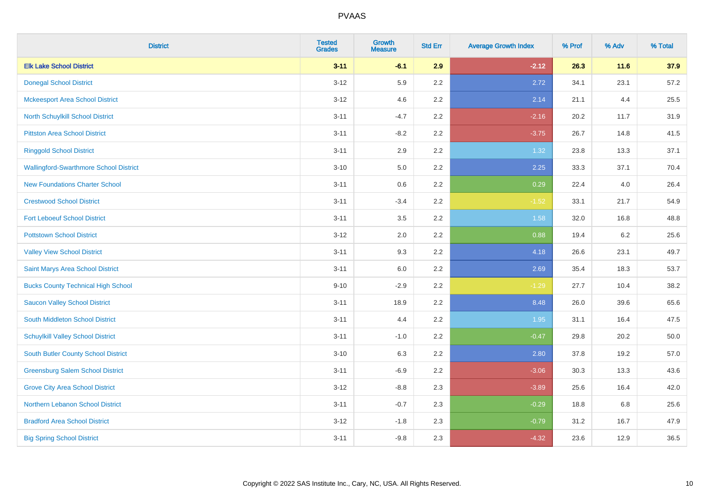| <b>District</b>                               | <b>Tested</b><br><b>Grades</b> | <b>Growth</b><br><b>Measure</b> | <b>Std Err</b> | <b>Average Growth Index</b> | % Prof | % Adv | % Total |
|-----------------------------------------------|--------------------------------|---------------------------------|----------------|-----------------------------|--------|-------|---------|
| <b>Elk Lake School District</b>               | $3 - 11$                       | $-6.1$                          | 2.9            | $-2.12$                     | 26.3   | 11.6  | 37.9    |
| <b>Donegal School District</b>                | $3 - 12$                       | 5.9                             | $2.2\,$        | 2.72                        | 34.1   | 23.1  | 57.2    |
| <b>Mckeesport Area School District</b>        | $3 - 12$                       | 4.6                             | 2.2            | 2.14                        | 21.1   | 4.4   | 25.5    |
| North Schuylkill School District              | $3 - 11$                       | $-4.7$                          | 2.2            | $-2.16$                     | 20.2   | 11.7  | 31.9    |
| <b>Pittston Area School District</b>          | $3 - 11$                       | $-8.2$                          | 2.2            | $-3.75$                     | 26.7   | 14.8  | 41.5    |
| <b>Ringgold School District</b>               | $3 - 11$                       | 2.9                             | 2.2            | 1.32                        | 23.8   | 13.3  | 37.1    |
| <b>Wallingford-Swarthmore School District</b> | $3 - 10$                       | 5.0                             | 2.2            | 2.25                        | 33.3   | 37.1  | 70.4    |
| <b>New Foundations Charter School</b>         | $3 - 11$                       | 0.6                             | 2.2            | 0.29                        | 22.4   | 4.0   | 26.4    |
| <b>Crestwood School District</b>              | $3 - 11$                       | $-3.4$                          | 2.2            | $-1.52$                     | 33.1   | 21.7  | 54.9    |
| <b>Fort Leboeuf School District</b>           | $3 - 11$                       | 3.5                             | $2.2\,$        | 1.58                        | 32.0   | 16.8  | 48.8    |
| <b>Pottstown School District</b>              | $3 - 12$                       | 2.0                             | 2.2            | 0.88                        | 19.4   | 6.2   | 25.6    |
| <b>Valley View School District</b>            | $3 - 11$                       | 9.3                             | 2.2            | 4.18                        | 26.6   | 23.1  | 49.7    |
| Saint Marys Area School District              | $3 - 11$                       | $6.0\,$                         | 2.2            | 2.69                        | 35.4   | 18.3  | 53.7    |
| <b>Bucks County Technical High School</b>     | $9 - 10$                       | $-2.9$                          | 2.2            | $-1.29$                     | 27.7   | 10.4  | 38.2    |
| <b>Saucon Valley School District</b>          | $3 - 11$                       | 18.9                            | 2.2            | 8.48                        | 26.0   | 39.6  | 65.6    |
| South Middleton School District               | $3 - 11$                       | 4.4                             | 2.2            | 1.95                        | 31.1   | 16.4  | 47.5    |
| <b>Schuylkill Valley School District</b>      | $3 - 11$                       | $-1.0$                          | 2.2            | $-0.47$                     | 29.8   | 20.2  | 50.0    |
| <b>South Butler County School District</b>    | $3 - 10$                       | 6.3                             | 2.2            | 2.80                        | 37.8   | 19.2  | 57.0    |
| <b>Greensburg Salem School District</b>       | $3 - 11$                       | $-6.9$                          | 2.2            | $-3.06$                     | 30.3   | 13.3  | 43.6    |
| <b>Grove City Area School District</b>        | $3 - 12$                       | $-8.8$                          | 2.3            | $-3.89$                     | 25.6   | 16.4  | 42.0    |
| Northern Lebanon School District              | $3 - 11$                       | $-0.7$                          | 2.3            | $-0.29$                     | 18.8   | 6.8   | 25.6    |
| <b>Bradford Area School District</b>          | $3 - 12$                       | $-1.8$                          | 2.3            | $-0.79$                     | 31.2   | 16.7  | 47.9    |
| <b>Big Spring School District</b>             | $3 - 11$                       | $-9.8$                          | 2.3            | $-4.32$                     | 23.6   | 12.9  | 36.5    |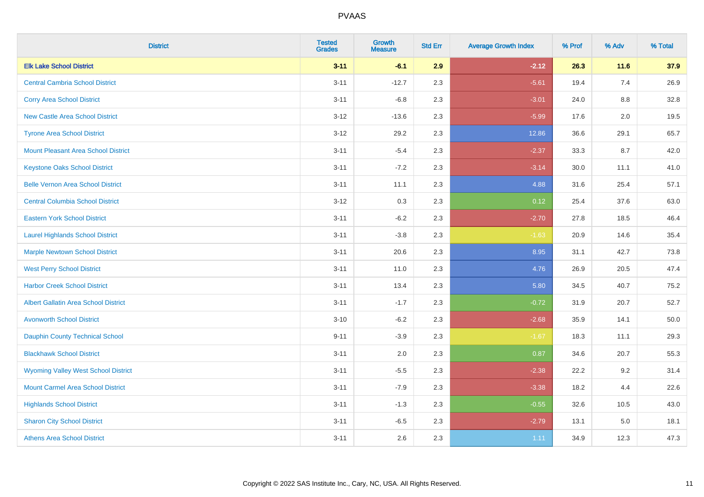| <b>District</b>                             | <b>Tested</b><br><b>Grades</b> | <b>Growth</b><br><b>Measure</b> | <b>Std Err</b> | <b>Average Growth Index</b> | % Prof | % Adv   | % Total |
|---------------------------------------------|--------------------------------|---------------------------------|----------------|-----------------------------|--------|---------|---------|
| <b>Elk Lake School District</b>             | $3 - 11$                       | $-6.1$                          | 2.9            | $-2.12$                     | 26.3   | 11.6    | 37.9    |
| <b>Central Cambria School District</b>      | $3 - 11$                       | $-12.7$                         | 2.3            | $-5.61$                     | 19.4   | 7.4     | 26.9    |
| <b>Corry Area School District</b>           | $3 - 11$                       | $-6.8$                          | 2.3            | $-3.01$                     | 24.0   | 8.8     | 32.8    |
| New Castle Area School District             | $3 - 12$                       | $-13.6$                         | 2.3            | $-5.99$                     | 17.6   | $2.0\,$ | 19.5    |
| <b>Tyrone Area School District</b>          | $3 - 12$                       | 29.2                            | 2.3            | 12.86                       | 36.6   | 29.1    | 65.7    |
| <b>Mount Pleasant Area School District</b>  | $3 - 11$                       | $-5.4$                          | 2.3            | $-2.37$                     | 33.3   | 8.7     | 42.0    |
| <b>Keystone Oaks School District</b>        | $3 - 11$                       | $-7.2$                          | 2.3            | $-3.14$                     | 30.0   | 11.1    | 41.0    |
| <b>Belle Vernon Area School District</b>    | $3 - 11$                       | 11.1                            | 2.3            | 4.88                        | 31.6   | 25.4    | 57.1    |
| <b>Central Columbia School District</b>     | $3 - 12$                       | 0.3                             | 2.3            | 0.12                        | 25.4   | 37.6    | 63.0    |
| <b>Eastern York School District</b>         | $3 - 11$                       | $-6.2$                          | 2.3            | $-2.70$                     | 27.8   | 18.5    | 46.4    |
| <b>Laurel Highlands School District</b>     | $3 - 11$                       | $-3.8$                          | 2.3            | $-1.63$                     | 20.9   | 14.6    | 35.4    |
| <b>Marple Newtown School District</b>       | $3 - 11$                       | 20.6                            | 2.3            | 8.95                        | 31.1   | 42.7    | 73.8    |
| <b>West Perry School District</b>           | $3 - 11$                       | 11.0                            | 2.3            | 4.76                        | 26.9   | 20.5    | 47.4    |
| <b>Harbor Creek School District</b>         | $3 - 11$                       | 13.4                            | 2.3            | 5.80                        | 34.5   | 40.7    | 75.2    |
| <b>Albert Gallatin Area School District</b> | $3 - 11$                       | $-1.7$                          | 2.3            | $-0.72$                     | 31.9   | 20.7    | 52.7    |
| <b>Avonworth School District</b>            | $3 - 10$                       | $-6.2$                          | 2.3            | $-2.68$                     | 35.9   | 14.1    | 50.0    |
| <b>Dauphin County Technical School</b>      | $9 - 11$                       | $-3.9$                          | 2.3            | $-1.67$                     | 18.3   | 11.1    | 29.3    |
| <b>Blackhawk School District</b>            | $3 - 11$                       | 2.0                             | 2.3            | 0.87                        | 34.6   | 20.7    | 55.3    |
| <b>Wyoming Valley West School District</b>  | $3 - 11$                       | $-5.5$                          | 2.3            | $-2.38$                     | 22.2   | 9.2     | 31.4    |
| <b>Mount Carmel Area School District</b>    | $3 - 11$                       | $-7.9$                          | 2.3            | $-3.38$                     | 18.2   | 4.4     | 22.6    |
| <b>Highlands School District</b>            | $3 - 11$                       | $-1.3$                          | 2.3            | $-0.55$                     | 32.6   | 10.5    | 43.0    |
| <b>Sharon City School District</b>          | $3 - 11$                       | $-6.5$                          | 2.3            | $-2.79$                     | 13.1   | 5.0     | 18.1    |
| <b>Athens Area School District</b>          | $3 - 11$                       | 2.6                             | 2.3            | 1.11                        | 34.9   | 12.3    | 47.3    |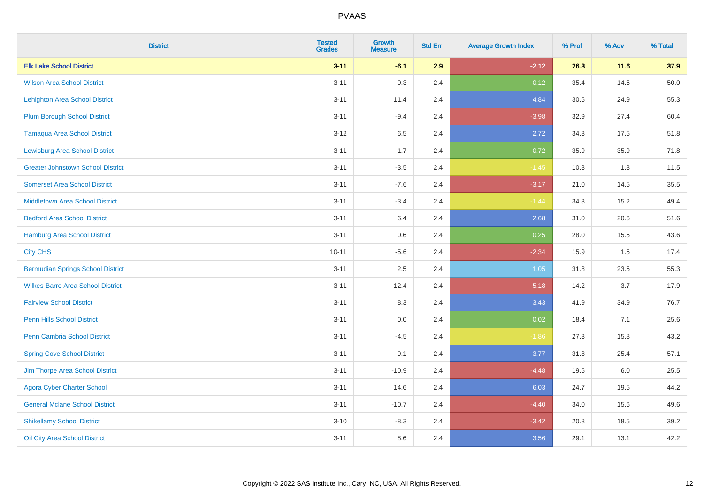| <b>District</b>                          | <b>Tested</b><br><b>Grades</b> | Growth<br><b>Measure</b> | <b>Std Err</b> | <b>Average Growth Index</b> | % Prof | % Adv | % Total |
|------------------------------------------|--------------------------------|--------------------------|----------------|-----------------------------|--------|-------|---------|
| <b>Elk Lake School District</b>          | $3 - 11$                       | $-6.1$                   | 2.9            | $-2.12$                     | 26.3   | 11.6  | 37.9    |
| <b>Wilson Area School District</b>       | $3 - 11$                       | $-0.3$                   | 2.4            | $-0.12$                     | 35.4   | 14.6  | 50.0    |
| <b>Lehighton Area School District</b>    | $3 - 11$                       | 11.4                     | 2.4            | 4.84                        | 30.5   | 24.9  | 55.3    |
| <b>Plum Borough School District</b>      | $3 - 11$                       | $-9.4$                   | 2.4            | $-3.98$                     | 32.9   | 27.4  | 60.4    |
| <b>Tamaqua Area School District</b>      | $3 - 12$                       | 6.5                      | 2.4            | 2.72                        | 34.3   | 17.5  | 51.8    |
| <b>Lewisburg Area School District</b>    | $3 - 11$                       | 1.7                      | 2.4            | 0.72                        | 35.9   | 35.9  | 71.8    |
| <b>Greater Johnstown School District</b> | $3 - 11$                       | $-3.5$                   | 2.4            | $-1.45$                     | 10.3   | 1.3   | 11.5    |
| <b>Somerset Area School District</b>     | $3 - 11$                       | $-7.6$                   | 2.4            | $-3.17$                     | 21.0   | 14.5  | 35.5    |
| <b>Middletown Area School District</b>   | $3 - 11$                       | $-3.4$                   | 2.4            | $-1.44$                     | 34.3   | 15.2  | 49.4    |
| <b>Bedford Area School District</b>      | $3 - 11$                       | 6.4                      | 2.4            | 2.68                        | 31.0   | 20.6  | 51.6    |
| Hamburg Area School District             | $3 - 11$                       | 0.6                      | 2.4            | 0.25                        | 28.0   | 15.5  | 43.6    |
| <b>City CHS</b>                          | $10 - 11$                      | $-5.6$                   | 2.4            | $-2.34$                     | 15.9   | 1.5   | 17.4    |
| <b>Bermudian Springs School District</b> | $3 - 11$                       | 2.5                      | 2.4            | 1.05                        | 31.8   | 23.5  | 55.3    |
| <b>Wilkes-Barre Area School District</b> | $3 - 11$                       | $-12.4$                  | 2.4            | $-5.18$                     | 14.2   | 3.7   | 17.9    |
| <b>Fairview School District</b>          | $3 - 11$                       | 8.3                      | 2.4            | 3.43                        | 41.9   | 34.9  | 76.7    |
| <b>Penn Hills School District</b>        | $3 - 11$                       | 0.0                      | 2.4            | 0.02                        | 18.4   | 7.1   | 25.6    |
| Penn Cambria School District             | $3 - 11$                       | $-4.5$                   | 2.4            | $-1.86$                     | 27.3   | 15.8  | 43.2    |
| <b>Spring Cove School District</b>       | $3 - 11$                       | 9.1                      | 2.4            | 3.77                        | 31.8   | 25.4  | 57.1    |
| Jim Thorpe Area School District          | $3 - 11$                       | $-10.9$                  | 2.4            | $-4.48$                     | 19.5   | 6.0   | 25.5    |
| <b>Agora Cyber Charter School</b>        | $3 - 11$                       | 14.6                     | 2.4            | 6.03                        | 24.7   | 19.5  | 44.2    |
| <b>General Mclane School District</b>    | $3 - 11$                       | $-10.7$                  | 2.4            | $-4.40$                     | 34.0   | 15.6  | 49.6    |
| <b>Shikellamy School District</b>        | $3 - 10$                       | $-8.3$                   | 2.4            | $-3.42$                     | 20.8   | 18.5  | 39.2    |
| Oil City Area School District            | $3 - 11$                       | 8.6                      | 2.4            | 3.56                        | 29.1   | 13.1  | 42.2    |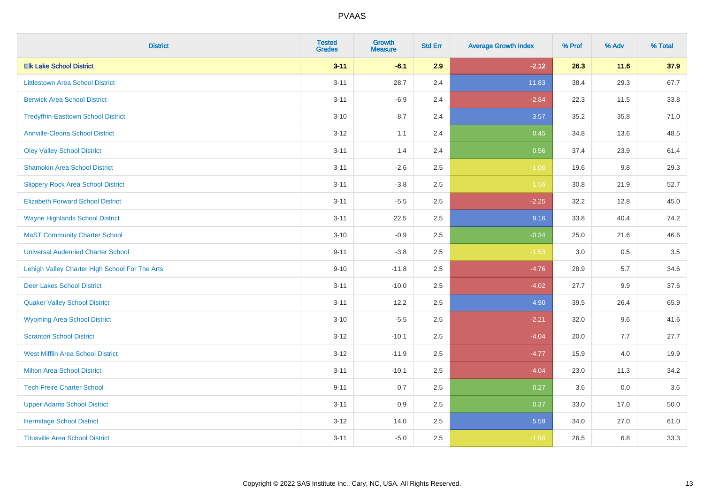| <b>District</b>                                | <b>Tested</b><br><b>Grades</b> | <b>Growth</b><br><b>Measure</b> | <b>Std Err</b> | <b>Average Growth Index</b> | % Prof | % Adv  | % Total |
|------------------------------------------------|--------------------------------|---------------------------------|----------------|-----------------------------|--------|--------|---------|
| <b>Elk Lake School District</b>                | $3 - 11$                       | $-6.1$                          | 2.9            | $-2.12$                     | 26.3   | $11.6$ | 37.9    |
| <b>Littlestown Area School District</b>        | $3 - 11$                       | 28.7                            | 2.4            | 11.83                       | 38.4   | 29.3   | 67.7    |
| <b>Berwick Area School District</b>            | $3 - 11$                       | $-6.9$                          | 2.4            | $-2.84$                     | 22.3   | 11.5   | 33.8    |
| <b>Tredyffrin-Easttown School District</b>     | $3 - 10$                       | 8.7                             | 2.4            | 3.57                        | 35.2   | 35.8   | 71.0    |
| Annville-Cleona School District                | $3-12$                         | 1.1                             | 2.4            | 0.45                        | 34.8   | 13.6   | 48.5    |
| <b>Oley Valley School District</b>             | $3 - 11$                       | 1.4                             | 2.4            | 0.56                        | 37.4   | 23.9   | 61.4    |
| <b>Shamokin Area School District</b>           | $3 - 11$                       | $-2.6$                          | 2.5            | $-1.06$                     | 19.6   | 9.8    | 29.3    |
| <b>Slippery Rock Area School District</b>      | $3 - 11$                       | $-3.8$                          | 2.5            | $-1.56$                     | 30.8   | 21.9   | 52.7    |
| <b>Elizabeth Forward School District</b>       | $3 - 11$                       | $-5.5$                          | 2.5            | $-2.25$                     | 32.2   | 12.8   | 45.0    |
| <b>Wayne Highlands School District</b>         | $3 - 11$                       | 22.5                            | 2.5            | 9.16                        | 33.8   | 40.4   | 74.2    |
| <b>MaST Community Charter School</b>           | $3 - 10$                       | $-0.9$                          | 2.5            | $-0.34$                     | 25.0   | 21.6   | 46.6    |
| <b>Universal Audenried Charter School</b>      | $9 - 11$                       | $-3.8$                          | 2.5            | $-1.53$                     | 3.0    | 0.5    | 3.5     |
| Lehigh Valley Charter High School For The Arts | $9 - 10$                       | $-11.8$                         | 2.5            | $-4.76$                     | 28.9   | 5.7    | 34.6    |
| <b>Deer Lakes School District</b>              | $3 - 11$                       | $-10.0$                         | 2.5            | $-4.02$                     | 27.7   | 9.9    | 37.6    |
| <b>Quaker Valley School District</b>           | $3 - 11$                       | 12.2                            | 2.5            | 4.90                        | 39.5   | 26.4   | 65.9    |
| <b>Wyoming Area School District</b>            | $3 - 10$                       | $-5.5$                          | 2.5            | $-2.21$                     | 32.0   | 9.6    | 41.6    |
| <b>Scranton School District</b>                | $3 - 12$                       | $-10.1$                         | 2.5            | $-4.04$                     | 20.0   | 7.7    | 27.7    |
| <b>West Mifflin Area School District</b>       | $3 - 12$                       | $-11.9$                         | 2.5            | $-4.77$                     | 15.9   | 4.0    | 19.9    |
| <b>Milton Area School District</b>             | $3 - 11$                       | $-10.1$                         | 2.5            | $-4.04$                     | 23.0   | 11.3   | 34.2    |
| <b>Tech Freire Charter School</b>              | $9 - 11$                       | $0.7\,$                         | 2.5            | 0.27                        | 3.6    | 0.0    | 3.6     |
| <b>Upper Adams School District</b>             | $3 - 11$                       | 0.9                             | 2.5            | 0.37                        | 33.0   | 17.0   | 50.0    |
| <b>Hermitage School District</b>               | $3 - 12$                       | 14.0                            | 2.5            | 5.59                        | 34.0   | 27.0   | 61.0    |
| <b>Titusville Area School District</b>         | $3 - 11$                       | $-5.0$                          | 2.5            | $-1.98$                     | 26.5   | 6.8    | 33.3    |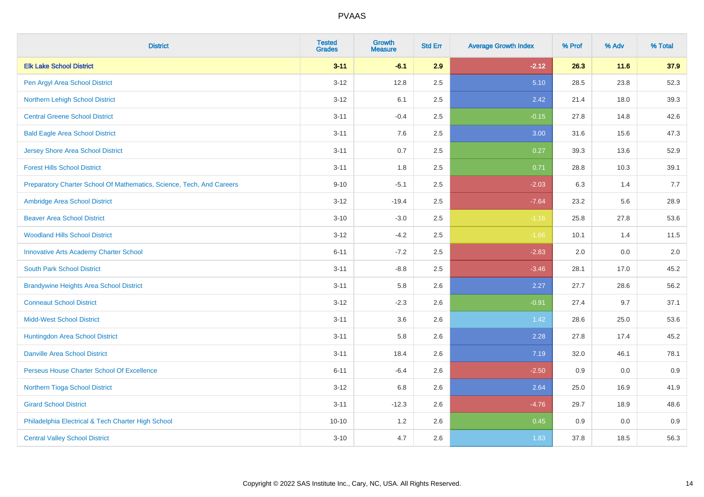| <b>District</b>                                                       | <b>Tested</b><br><b>Grades</b> | <b>Growth</b><br><b>Measure</b> | <b>Std Err</b> | <b>Average Growth Index</b> | % Prof | % Adv  | % Total |
|-----------------------------------------------------------------------|--------------------------------|---------------------------------|----------------|-----------------------------|--------|--------|---------|
| <b>Elk Lake School District</b>                                       | $3 - 11$                       | $-6.1$                          | 2.9            | $-2.12$                     | 26.3   | $11.6$ | 37.9    |
| Pen Argyl Area School District                                        | $3 - 12$                       | 12.8                            | 2.5            | 5.10                        | 28.5   | 23.8   | 52.3    |
| Northern Lehigh School District                                       | $3 - 12$                       | 6.1                             | 2.5            | 2.42                        | 21.4   | 18.0   | 39.3    |
| <b>Central Greene School District</b>                                 | $3 - 11$                       | $-0.4$                          | 2.5            | $-0.15$                     | 27.8   | 14.8   | 42.6    |
| <b>Bald Eagle Area School District</b>                                | $3 - 11$                       | 7.6                             | 2.5            | 3.00                        | 31.6   | 15.6   | 47.3    |
| <b>Jersey Shore Area School District</b>                              | $3 - 11$                       | 0.7                             | 2.5            | 0.27                        | 39.3   | 13.6   | 52.9    |
| <b>Forest Hills School District</b>                                   | $3 - 11$                       | 1.8                             | 2.5            | 0.71                        | 28.8   | 10.3   | 39.1    |
| Preparatory Charter School Of Mathematics, Science, Tech, And Careers | $9 - 10$                       | $-5.1$                          | 2.5            | $-2.03$                     | 6.3    | 1.4    | 7.7     |
| Ambridge Area School District                                         | $3 - 12$                       | $-19.4$                         | 2.5            | $-7.64$                     | 23.2   | 5.6    | 28.9    |
| <b>Beaver Area School District</b>                                    | $3 - 10$                       | $-3.0$                          | 2.5            | $-1.16$                     | 25.8   | 27.8   | 53.6    |
| <b>Woodland Hills School District</b>                                 | $3 - 12$                       | $-4.2$                          | 2.5            | $-1.66$                     | 10.1   | 1.4    | 11.5    |
| <b>Innovative Arts Academy Charter School</b>                         | $6 - 11$                       | $-7.2$                          | 2.5            | $-2.83$                     | 2.0    | 0.0    | 2.0     |
| <b>South Park School District</b>                                     | $3 - 11$                       | $-8.8$                          | 2.5            | $-3.46$                     | 28.1   | 17.0   | 45.2    |
| <b>Brandywine Heights Area School District</b>                        | $3 - 11$                       | 5.8                             | 2.6            | 2.27                        | 27.7   | 28.6   | 56.2    |
| <b>Conneaut School District</b>                                       | $3 - 12$                       | $-2.3$                          | 2.6            | $-0.91$                     | 27.4   | 9.7    | 37.1    |
| <b>Midd-West School District</b>                                      | $3 - 11$                       | 3.6                             | 2.6            | 1.42                        | 28.6   | 25.0   | 53.6    |
| Huntingdon Area School District                                       | $3 - 11$                       | 5.8                             | 2.6            | 2.28                        | 27.8   | 17.4   | 45.2    |
| <b>Danville Area School District</b>                                  | $3 - 11$                       | 18.4                            | 2.6            | 7.19                        | 32.0   | 46.1   | 78.1    |
| Perseus House Charter School Of Excellence                            | $6 - 11$                       | $-6.4$                          | 2.6            | $-2.50$                     | 0.9    | 0.0    | 0.9     |
| Northern Tioga School District                                        | $3 - 12$                       | 6.8                             | 2.6            | 2.64                        | 25.0   | 16.9   | 41.9    |
| <b>Girard School District</b>                                         | $3 - 11$                       | $-12.3$                         | 2.6            | $-4.76$                     | 29.7   | 18.9   | 48.6    |
| Philadelphia Electrical & Tech Charter High School                    | $10 - 10$                      | 1.2                             | 2.6            | 0.45                        | 0.9    | 0.0    | 0.9     |
| <b>Central Valley School District</b>                                 | $3 - 10$                       | 4.7                             | 2.6            | 1.83                        | 37.8   | 18.5   | 56.3    |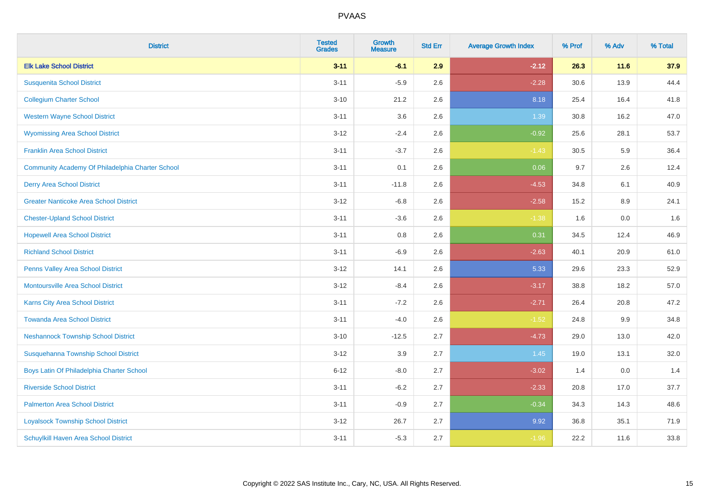| <b>District</b>                                  | <b>Tested</b><br><b>Grades</b> | <b>Growth</b><br><b>Measure</b> | <b>Std Err</b> | <b>Average Growth Index</b> | % Prof | % Adv | % Total |
|--------------------------------------------------|--------------------------------|---------------------------------|----------------|-----------------------------|--------|-------|---------|
| <b>Elk Lake School District</b>                  | $3 - 11$                       | $-6.1$                          | 2.9            | $-2.12$                     | 26.3   | 11.6  | 37.9    |
| <b>Susquenita School District</b>                | $3 - 11$                       | $-5.9$                          | 2.6            | $-2.28$                     | 30.6   | 13.9  | 44.4    |
| <b>Collegium Charter School</b>                  | $3 - 10$                       | 21.2                            | 2.6            | 8.18                        | 25.4   | 16.4  | 41.8    |
| <b>Western Wayne School District</b>             | $3 - 11$                       | 3.6                             | 2.6            | 1.39                        | 30.8   | 16.2  | 47.0    |
| <b>Wyomissing Area School District</b>           | $3 - 12$                       | $-2.4$                          | 2.6            | $-0.92$                     | 25.6   | 28.1  | 53.7    |
| <b>Franklin Area School District</b>             | $3 - 11$                       | $-3.7$                          | 2.6            | $-1.43$                     | 30.5   | 5.9   | 36.4    |
| Community Academy Of Philadelphia Charter School | $3 - 11$                       | 0.1                             | 2.6            | 0.06                        | 9.7    | 2.6   | 12.4    |
| <b>Derry Area School District</b>                | $3 - 11$                       | $-11.8$                         | 2.6            | $-4.53$                     | 34.8   | 6.1   | 40.9    |
| <b>Greater Nanticoke Area School District</b>    | $3 - 12$                       | $-6.8$                          | 2.6            | $-2.58$                     | 15.2   | 8.9   | 24.1    |
| <b>Chester-Upland School District</b>            | $3 - 11$                       | $-3.6$                          | 2.6            | $-1.38$                     | 1.6    | 0.0   | 1.6     |
| <b>Hopewell Area School District</b>             | $3 - 11$                       | 0.8                             | 2.6            | 0.31                        | 34.5   | 12.4  | 46.9    |
| <b>Richland School District</b>                  | $3 - 11$                       | $-6.9$                          | 2.6            | $-2.63$                     | 40.1   | 20.9  | 61.0    |
| Penns Valley Area School District                | $3 - 12$                       | 14.1                            | 2.6            | 5.33                        | 29.6   | 23.3  | 52.9    |
| <b>Montoursville Area School District</b>        | $3 - 12$                       | $-8.4$                          | 2.6            | $-3.17$                     | 38.8   | 18.2  | 57.0    |
| Karns City Area School District                  | $3 - 11$                       | $-7.2$                          | 2.6            | $-2.71$                     | 26.4   | 20.8  | 47.2    |
| <b>Towanda Area School District</b>              | $3 - 11$                       | $-4.0$                          | 2.6            | $-1.52$                     | 24.8   | 9.9   | 34.8    |
| <b>Neshannock Township School District</b>       | $3 - 10$                       | $-12.5$                         | 2.7            | $-4.73$                     | 29.0   | 13.0  | 42.0    |
| Susquehanna Township School District             | $3 - 12$                       | 3.9                             | 2.7            | 1.45                        | 19.0   | 13.1  | 32.0    |
| Boys Latin Of Philadelphia Charter School        | $6 - 12$                       | $-8.0$                          | 2.7            | $-3.02$                     | 1.4    | 0.0   | 1.4     |
| <b>Riverside School District</b>                 | $3 - 11$                       | $-6.2$                          | 2.7            | $-2.33$                     | 20.8   | 17.0  | 37.7    |
| <b>Palmerton Area School District</b>            | $3 - 11$                       | $-0.9$                          | 2.7            | $-0.34$                     | 34.3   | 14.3  | 48.6    |
| <b>Loyalsock Township School District</b>        | $3 - 12$                       | 26.7                            | 2.7            | 9.92                        | 36.8   | 35.1  | 71.9    |
| Schuylkill Haven Area School District            | $3 - 11$                       | $-5.3$                          | 2.7            | $-1.96$                     | 22.2   | 11.6  | 33.8    |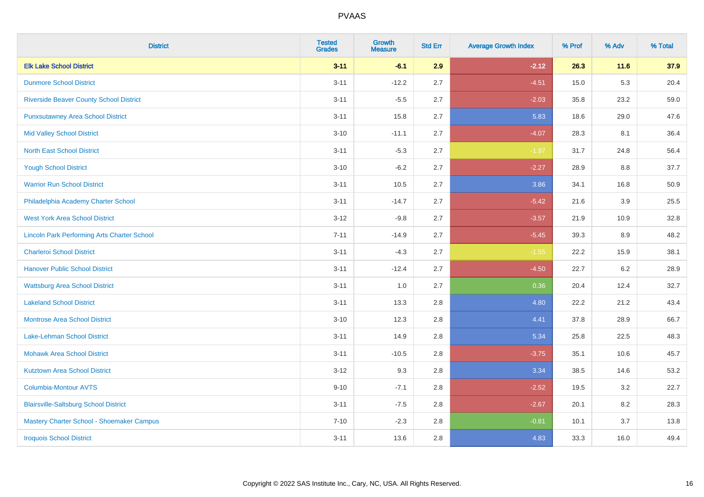| <b>District</b>                                    | <b>Tested</b><br><b>Grades</b> | <b>Growth</b><br><b>Measure</b> | <b>Std Err</b> | <b>Average Growth Index</b> | % Prof | % Adv | % Total |
|----------------------------------------------------|--------------------------------|---------------------------------|----------------|-----------------------------|--------|-------|---------|
| <b>Elk Lake School District</b>                    | $3 - 11$                       | $-6.1$                          | 2.9            | $-2.12$                     | 26.3   | 11.6  | 37.9    |
| <b>Dunmore School District</b>                     | $3 - 11$                       | $-12.2$                         | 2.7            | $-4.51$                     | 15.0   | 5.3   | 20.4    |
| <b>Riverside Beaver County School District</b>     | $3 - 11$                       | $-5.5$                          | 2.7            | $-2.03$                     | 35.8   | 23.2  | 59.0    |
| <b>Punxsutawney Area School District</b>           | $3 - 11$                       | 15.8                            | 2.7            | 5.83                        | 18.6   | 29.0  | 47.6    |
| <b>Mid Valley School District</b>                  | $3 - 10$                       | $-11.1$                         | 2.7            | $-4.07$                     | 28.3   | 8.1   | 36.4    |
| <b>North East School District</b>                  | $3 - 11$                       | $-5.3$                          | 2.7            | $-1.97$                     | 31.7   | 24.8  | 56.4    |
| <b>Yough School District</b>                       | $3 - 10$                       | $-6.2$                          | 2.7            | $-2.27$                     | 28.9   | 8.8   | 37.7    |
| <b>Warrior Run School District</b>                 | $3 - 11$                       | 10.5                            | 2.7            | 3.86                        | 34.1   | 16.8  | 50.9    |
| Philadelphia Academy Charter School                | $3 - 11$                       | $-14.7$                         | 2.7            | $-5.42$                     | 21.6   | 3.9   | 25.5    |
| <b>West York Area School District</b>              | $3 - 12$                       | $-9.8$                          | 2.7            | $-3.57$                     | 21.9   | 10.9  | 32.8    |
| <b>Lincoln Park Performing Arts Charter School</b> | $7 - 11$                       | $-14.9$                         | 2.7            | $-5.45$                     | 39.3   | 8.9   | 48.2    |
| <b>Charleroi School District</b>                   | $3 - 11$                       | $-4.3$                          | 2.7            | $-1.55$                     | 22.2   | 15.9  | 38.1    |
| <b>Hanover Public School District</b>              | $3 - 11$                       | $-12.4$                         | 2.7            | $-4.50$                     | 22.7   | 6.2   | 28.9    |
| <b>Wattsburg Area School District</b>              | $3 - 11$                       | 1.0                             | 2.7            | 0.36                        | 20.4   | 12.4  | 32.7    |
| <b>Lakeland School District</b>                    | $3 - 11$                       | 13.3                            | 2.8            | 4.80                        | 22.2   | 21.2  | 43.4    |
| <b>Montrose Area School District</b>               | $3 - 10$                       | 12.3                            | 2.8            | 4.41                        | 37.8   | 28.9  | 66.7    |
| Lake-Lehman School District                        | $3 - 11$                       | 14.9                            | 2.8            | 5.34                        | 25.8   | 22.5  | 48.3    |
| <b>Mohawk Area School District</b>                 | $3 - 11$                       | $-10.5$                         | 2.8            | $-3.75$                     | 35.1   | 10.6  | 45.7    |
| <b>Kutztown Area School District</b>               | $3-12$                         | 9.3                             | 2.8            | 3.34                        | 38.5   | 14.6  | 53.2    |
| <b>Columbia-Montour AVTS</b>                       | $9 - 10$                       | $-7.1$                          | 2.8            | $-2.52$                     | 19.5   | 3.2   | 22.7    |
| <b>Blairsville-Saltsburg School District</b>       | $3 - 11$                       | $-7.5$                          | 2.8            | $-2.67$                     | 20.1   | 8.2   | 28.3    |
| Mastery Charter School - Shoemaker Campus          | $7 - 10$                       | $-2.3$                          | 2.8            | $-0.81$                     | 10.1   | 3.7   | 13.8    |
| <b>Iroquois School District</b>                    | $3 - 11$                       | 13.6                            | 2.8            | 4.83                        | 33.3   | 16.0  | 49.4    |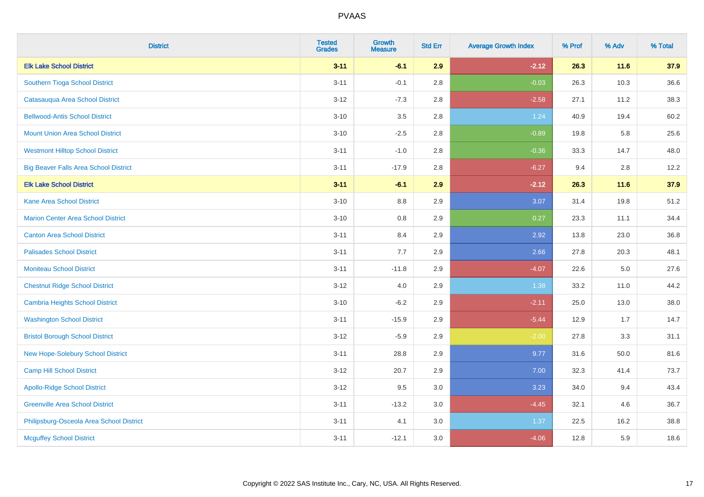| <b>District</b>                              | <b>Tested</b><br><b>Grades</b> | <b>Growth</b><br><b>Measure</b> | <b>Std Err</b> | <b>Average Growth Index</b> | % Prof | % Adv  | % Total |
|----------------------------------------------|--------------------------------|---------------------------------|----------------|-----------------------------|--------|--------|---------|
| <b>Elk Lake School District</b>              | $3 - 11$                       | $-6.1$                          | 2.9            | $-2.12$                     | 26.3   | 11.6   | 37.9    |
| Southern Tioga School District               | $3 - 11$                       | $-0.1$                          | 2.8            | $-0.03$                     | 26.3   | 10.3   | 36.6    |
| Catasauqua Area School District              | $3 - 12$                       | $-7.3$                          | 2.8            | $-2.58$                     | 27.1   | 11.2   | 38.3    |
| <b>Bellwood-Antis School District</b>        | $3 - 10$                       | 3.5                             | 2.8            | 1.24                        | 40.9   | 19.4   | 60.2    |
| <b>Mount Union Area School District</b>      | $3 - 10$                       | $-2.5$                          | 2.8            | $-0.89$                     | 19.8   | 5.8    | 25.6    |
| <b>Westmont Hilltop School District</b>      | $3 - 11$                       | $-1.0$                          | 2.8            | $-0.36$                     | 33.3   | 14.7   | 48.0    |
| <b>Big Beaver Falls Area School District</b> | $3 - 11$                       | $-17.9$                         | 2.8            | $-6.27$                     | 9.4    | 2.8    | 12.2    |
| <b>Elk Lake School District</b>              | $3 - 11$                       | $-6.1$                          | 2.9            | $-2.12$                     | 26.3   | $11.6$ | 37.9    |
| <b>Kane Area School District</b>             | $3 - 10$                       | $8.8\,$                         | 2.9            | 3.07                        | 31.4   | 19.8   | 51.2    |
| <b>Marion Center Area School District</b>    | $3 - 10$                       | 0.8                             | 2.9            | 0.27                        | 23.3   | 11.1   | 34.4    |
| <b>Canton Area School District</b>           | $3 - 11$                       | 8.4                             | 2.9            | 2.92                        | 13.8   | 23.0   | 36.8    |
| <b>Palisades School District</b>             | $3 - 11$                       | 7.7                             | 2.9            | 2.66                        | 27.8   | 20.3   | 48.1    |
| <b>Moniteau School District</b>              | $3 - 11$                       | $-11.8$                         | 2.9            | $-4.07$                     | 22.6   | 5.0    | 27.6    |
| <b>Chestnut Ridge School District</b>        | $3 - 12$                       | 4.0                             | 2.9            | 1.38                        | 33.2   | 11.0   | 44.2    |
| Cambria Heights School District              | $3 - 10$                       | $-6.2$                          | 2.9            | $-2.11$                     | 25.0   | 13.0   | 38.0    |
| <b>Washington School District</b>            | $3 - 11$                       | $-15.9$                         | 2.9            | $-5.44$                     | 12.9   | 1.7    | 14.7    |
| <b>Bristol Borough School District</b>       | $3-12$                         | $-5.9$                          | 2.9            | $-2.00$                     | 27.8   | 3.3    | 31.1    |
| New Hope-Solebury School District            | $3 - 11$                       | 28.8                            | 2.9            | 9.77                        | 31.6   | 50.0   | 81.6    |
| <b>Camp Hill School District</b>             | $3 - 12$                       | 20.7                            | 2.9            | 7.00                        | 32.3   | 41.4   | 73.7    |
| <b>Apollo-Ridge School District</b>          | $3 - 12$                       | 9.5                             | 3.0            | 3.23                        | 34.0   | 9.4    | 43.4    |
| <b>Greenville Area School District</b>       | $3 - 11$                       | $-13.2$                         | 3.0            | $-4.45$                     | 32.1   | 4.6    | 36.7    |
| Philipsburg-Osceola Area School District     | $3 - 11$                       | 4.1                             | 3.0            | 1.37                        | 22.5   | 16.2   | 38.8    |
| <b>Mcguffey School District</b>              | $3 - 11$                       | $-12.1$                         | 3.0            | $-4.06$                     | 12.8   | 5.9    | 18.6    |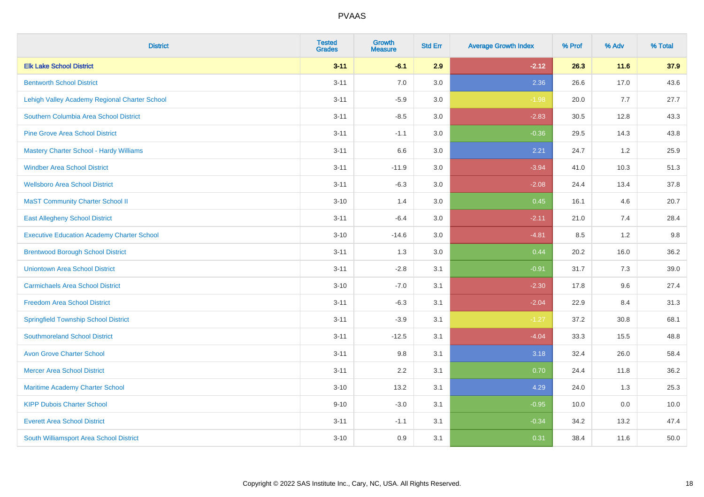| <b>District</b>                                   | <b>Tested</b><br><b>Grades</b> | <b>Growth</b><br><b>Measure</b> | <b>Std Err</b> | <b>Average Growth Index</b> | % Prof | % Adv | % Total |
|---------------------------------------------------|--------------------------------|---------------------------------|----------------|-----------------------------|--------|-------|---------|
| <b>Elk Lake School District</b>                   | $3 - 11$                       | $-6.1$                          | 2.9            | $-2.12$                     | 26.3   | 11.6  | 37.9    |
| <b>Bentworth School District</b>                  | $3 - 11$                       | 7.0                             | 3.0            | 2.36                        | 26.6   | 17.0  | 43.6    |
| Lehigh Valley Academy Regional Charter School     | $3 - 11$                       | $-5.9$                          | 3.0            | $-1.98$                     | 20.0   | 7.7   | 27.7    |
| Southern Columbia Area School District            | $3 - 11$                       | $-8.5$                          | 3.0            | $-2.83$                     | 30.5   | 12.8  | 43.3    |
| <b>Pine Grove Area School District</b>            | $3 - 11$                       | $-1.1$                          | 3.0            | $-0.36$                     | 29.5   | 14.3  | 43.8    |
| Mastery Charter School - Hardy Williams           | $3 - 11$                       | 6.6                             | 3.0            | 2.21                        | 24.7   | 1.2   | 25.9    |
| <b>Windber Area School District</b>               | $3 - 11$                       | $-11.9$                         | 3.0            | $-3.94$                     | 41.0   | 10.3  | 51.3    |
| <b>Wellsboro Area School District</b>             | $3 - 11$                       | $-6.3$                          | 3.0            | $-2.08$                     | 24.4   | 13.4  | 37.8    |
| <b>MaST Community Charter School II</b>           | $3 - 10$                       | 1.4                             | 3.0            | 0.45                        | 16.1   | 4.6   | 20.7    |
| <b>East Allegheny School District</b>             | $3 - 11$                       | $-6.4$                          | 3.0            | $-2.11$                     | 21.0   | 7.4   | 28.4    |
| <b>Executive Education Academy Charter School</b> | $3 - 10$                       | $-14.6$                         | 3.0            | $-4.81$                     | 8.5    | 1.2   | 9.8     |
| <b>Brentwood Borough School District</b>          | $3 - 11$                       | 1.3                             | 3.0            | 0.44                        | 20.2   | 16.0  | 36.2    |
| <b>Uniontown Area School District</b>             | $3 - 11$                       | $-2.8$                          | 3.1            | $-0.91$                     | 31.7   | 7.3   | 39.0    |
| <b>Carmichaels Area School District</b>           | $3 - 10$                       | $-7.0$                          | 3.1            | $-2.30$                     | 17.8   | 9.6   | 27.4    |
| <b>Freedom Area School District</b>               | $3 - 11$                       | $-6.3$                          | 3.1            | $-2.04$                     | 22.9   | 8.4   | 31.3    |
| <b>Springfield Township School District</b>       | $3 - 11$                       | $-3.9$                          | 3.1            | $-1.27$                     | 37.2   | 30.8  | 68.1    |
| <b>Southmoreland School District</b>              | $3 - 11$                       | $-12.5$                         | 3.1            | $-4.04$                     | 33.3   | 15.5  | 48.8    |
| <b>Avon Grove Charter School</b>                  | $3 - 11$                       | 9.8                             | 3.1            | 3.18                        | 32.4   | 26.0  | 58.4    |
| <b>Mercer Area School District</b>                | $3 - 11$                       | 2.2                             | 3.1            | 0.70                        | 24.4   | 11.8  | 36.2    |
| Maritime Academy Charter School                   | $3 - 10$                       | 13.2                            | 3.1            | 4.29                        | 24.0   | 1.3   | 25.3    |
| <b>KIPP Dubois Charter School</b>                 | $9 - 10$                       | $-3.0$                          | 3.1            | $-0.95$                     | 10.0   | 0.0   | 10.0    |
| <b>Everett Area School District</b>               | $3 - 11$                       | $-1.1$                          | 3.1            | $-0.34$                     | 34.2   | 13.2  | 47.4    |
| South Williamsport Area School District           | $3 - 10$                       | 0.9                             | 3.1            | 0.31                        | 38.4   | 11.6  | 50.0    |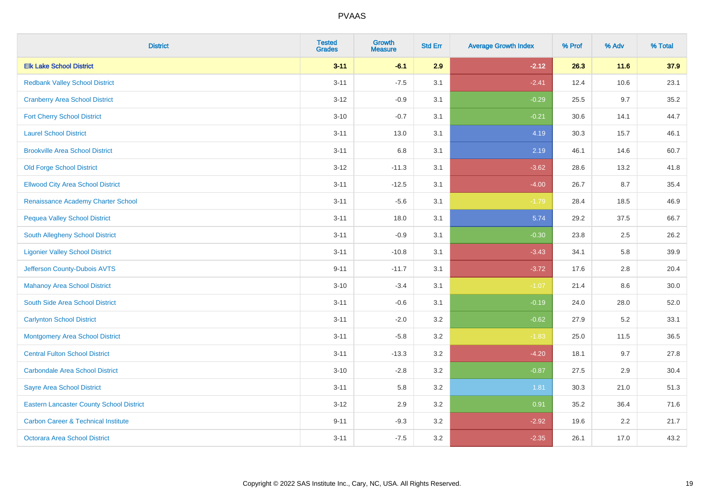| <b>District</b>                                 | <b>Tested</b><br><b>Grades</b> | <b>Growth</b><br><b>Measure</b> | <b>Std Err</b> | <b>Average Growth Index</b> | % Prof | % Adv  | % Total |
|-------------------------------------------------|--------------------------------|---------------------------------|----------------|-----------------------------|--------|--------|---------|
| <b>Elk Lake School District</b>                 | $3 - 11$                       | $-6.1$                          | 2.9            | $-2.12$                     | 26.3   | $11.6$ | 37.9    |
| <b>Redbank Valley School District</b>           | $3 - 11$                       | $-7.5$                          | 3.1            | $-2.41$                     | 12.4   | 10.6   | 23.1    |
| <b>Cranberry Area School District</b>           | $3 - 12$                       | $-0.9$                          | 3.1            | $-0.29$                     | 25.5   | 9.7    | 35.2    |
| <b>Fort Cherry School District</b>              | $3 - 10$                       | $-0.7$                          | 3.1            | $-0.21$                     | 30.6   | 14.1   | 44.7    |
| <b>Laurel School District</b>                   | $3 - 11$                       | 13.0                            | 3.1            | 4.19                        | 30.3   | 15.7   | 46.1    |
| <b>Brookville Area School District</b>          | $3 - 11$                       | 6.8                             | 3.1            | 2.19                        | 46.1   | 14.6   | 60.7    |
| <b>Old Forge School District</b>                | $3 - 12$                       | $-11.3$                         | 3.1            | $-3.62$                     | 28.6   | 13.2   | 41.8    |
| <b>Ellwood City Area School District</b>        | $3 - 11$                       | $-12.5$                         | 3.1            | $-4.00$                     | 26.7   | 8.7    | 35.4    |
| Renaissance Academy Charter School              | $3 - 11$                       | $-5.6$                          | 3.1            | $-1.79$                     | 28.4   | 18.5   | 46.9    |
| <b>Pequea Valley School District</b>            | $3 - 11$                       | 18.0                            | 3.1            | 5.74                        | 29.2   | 37.5   | 66.7    |
| <b>South Allegheny School District</b>          | $3 - 11$                       | $-0.9$                          | 3.1            | $-0.30$                     | 23.8   | 2.5    | 26.2    |
| <b>Ligonier Valley School District</b>          | $3 - 11$                       | $-10.8$                         | 3.1            | $-3.43$                     | 34.1   | 5.8    | 39.9    |
| Jefferson County-Dubois AVTS                    | $9 - 11$                       | $-11.7$                         | 3.1            | $-3.72$                     | 17.6   | 2.8    | 20.4    |
| <b>Mahanoy Area School District</b>             | $3 - 10$                       | $-3.4$                          | 3.1            | $-1.07$                     | 21.4   | 8.6    | 30.0    |
| South Side Area School District                 | $3 - 11$                       | $-0.6$                          | 3.1            | $-0.19$                     | 24.0   | 28.0   | 52.0    |
| <b>Carlynton School District</b>                | $3 - 11$                       | $-2.0$                          | 3.2            | $-0.62$                     | 27.9   | 5.2    | 33.1    |
| <b>Montgomery Area School District</b>          | $3 - 11$                       | $-5.8$                          | 3.2            | $-1.83$                     | 25.0   | 11.5   | 36.5    |
| <b>Central Fulton School District</b>           | $3 - 11$                       | $-13.3$                         | 3.2            | $-4.20$                     | 18.1   | 9.7    | 27.8    |
| <b>Carbondale Area School District</b>          | $3 - 10$                       | $-2.8$                          | 3.2            | $-0.87$                     | 27.5   | 2.9    | 30.4    |
| <b>Sayre Area School District</b>               | $3 - 11$                       | 5.8                             | 3.2            | 1.81                        | 30.3   | 21.0   | 51.3    |
| <b>Eastern Lancaster County School District</b> | $3 - 12$                       | 2.9                             | 3.2            | 0.91                        | 35.2   | 36.4   | 71.6    |
| <b>Carbon Career &amp; Technical Institute</b>  | $9 - 11$                       | $-9.3$                          | 3.2            | $-2.92$                     | 19.6   | 2.2    | 21.7    |
| Octorara Area School District                   | $3 - 11$                       | $-7.5$                          | 3.2            | $-2.35$                     | 26.1   | 17.0   | 43.2    |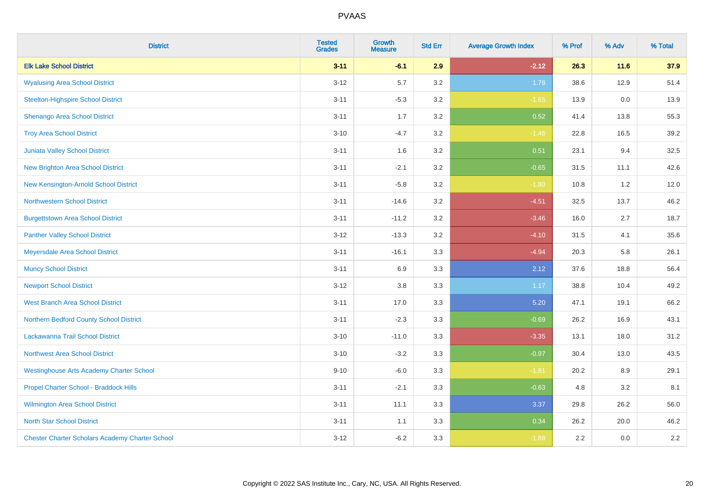| <b>District</b>                                        | <b>Tested</b><br><b>Grades</b> | <b>Growth</b><br><b>Measure</b> | <b>Std Err</b> | <b>Average Growth Index</b> | % Prof | % Adv | % Total |
|--------------------------------------------------------|--------------------------------|---------------------------------|----------------|-----------------------------|--------|-------|---------|
| <b>Elk Lake School District</b>                        | $3 - 11$                       | $-6.1$                          | 2.9            | $-2.12$                     | 26.3   | 11.6  | 37.9    |
| <b>Wyalusing Area School District</b>                  | $3 - 12$                       | 5.7                             | 3.2            | 1.78                        | 38.6   | 12.9  | 51.4    |
| <b>Steelton-Highspire School District</b>              | $3 - 11$                       | $-5.3$                          | 3.2            | $-1.65$                     | 13.9   | 0.0   | 13.9    |
| <b>Shenango Area School District</b>                   | $3 - 11$                       | 1.7                             | 3.2            | 0.52                        | 41.4   | 13.8  | 55.3    |
| <b>Troy Area School District</b>                       | $3 - 10$                       | $-4.7$                          | 3.2            | $-1.46$                     | 22.8   | 16.5  | 39.2    |
| Juniata Valley School District                         | $3 - 11$                       | 1.6                             | 3.2            | 0.51                        | 23.1   | 9.4   | 32.5    |
| <b>New Brighton Area School District</b>               | $3 - 11$                       | $-2.1$                          | 3.2            | $-0.65$                     | 31.5   | 11.1  | 42.6    |
| New Kensington-Arnold School District                  | $3 - 11$                       | $-5.8$                          | 3.2            | $-1.80$                     | 10.8   | 1.2   | 12.0    |
| <b>Northwestern School District</b>                    | $3 - 11$                       | $-14.6$                         | 3.2            | $-4.51$                     | 32.5   | 13.7  | 46.2    |
| <b>Burgettstown Area School District</b>               | $3 - 11$                       | $-11.2$                         | 3.2            | $-3.46$                     | 16.0   | 2.7   | 18.7    |
| <b>Panther Valley School District</b>                  | $3 - 12$                       | $-13.3$                         | 3.2            | $-4.10$                     | 31.5   | 4.1   | 35.6    |
| Meyersdale Area School District                        | $3 - 11$                       | $-16.1$                         | 3.3            | $-4.94$                     | 20.3   | 5.8   | 26.1    |
| <b>Muncy School District</b>                           | $3 - 11$                       | 6.9                             | 3.3            | 2.12                        | 37.6   | 18.8  | 56.4    |
| <b>Newport School District</b>                         | $3 - 12$                       | 3.8                             | 3.3            | 1.17                        | 38.8   | 10.4  | 49.2    |
| <b>West Branch Area School District</b>                | $3 - 11$                       | 17.0                            | 3.3            | 5.20                        | 47.1   | 19.1  | 66.2    |
| Northern Bedford County School District                | $3 - 11$                       | $-2.3$                          | 3.3            | $-0.69$                     | 26.2   | 16.9  | 43.1    |
| Lackawanna Trail School District                       | $3 - 10$                       | $-11.0$                         | 3.3            | $-3.35$                     | 13.1   | 18.0  | 31.2    |
| Northwest Area School District                         | $3 - 10$                       | $-3.2$                          | 3.3            | $-0.97$                     | 30.4   | 13.0  | 43.5    |
| <b>Westinghouse Arts Academy Charter School</b>        | $9 - 10$                       | $-6.0$                          | 3.3            | $-1.81$                     | 20.2   | 8.9   | 29.1    |
| Propel Charter School - Braddock Hills                 | $3 - 11$                       | $-2.1$                          | 3.3            | $-0.63$                     | 4.8    | 3.2   | 8.1     |
| Wilmington Area School District                        | $3 - 11$                       | 11.1                            | 3.3            | 3.37                        | 29.8   | 26.2  | 56.0    |
| <b>North Star School District</b>                      | $3 - 11$                       | 1.1                             | 3.3            | 0.34                        | 26.2   | 20.0  | 46.2    |
| <b>Chester Charter Scholars Academy Charter School</b> | $3 - 12$                       | $-6.2$                          | 3.3            | $-1.88$                     | 2.2    | 0.0   | 2.2     |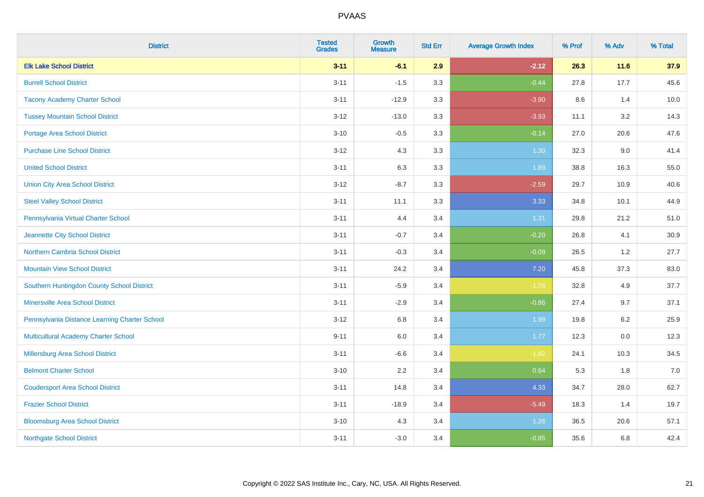| <b>District</b>                               | <b>Tested</b><br><b>Grades</b> | <b>Growth</b><br><b>Measure</b> | <b>Std Err</b> | <b>Average Growth Index</b> | % Prof | % Adv | % Total |
|-----------------------------------------------|--------------------------------|---------------------------------|----------------|-----------------------------|--------|-------|---------|
| <b>Elk Lake School District</b>               | $3 - 11$                       | $-6.1$                          | 2.9            | $-2.12$                     | 26.3   | 11.6  | 37.9    |
| <b>Burrell School District</b>                | $3 - 11$                       | $-1.5$                          | 3.3            | $-0.44$                     | 27.8   | 17.7  | 45.6    |
| <b>Tacony Academy Charter School</b>          | $3 - 11$                       | $-12.9$                         | 3.3            | $-3.90$                     | 8.6    | 1.4   | 10.0    |
| <b>Tussey Mountain School District</b>        | $3 - 12$                       | $-13.0$                         | 3.3            | $-3.93$                     | 11.1   | 3.2   | 14.3    |
| <b>Portage Area School District</b>           | $3 - 10$                       | $-0.5$                          | 3.3            | $-0.14$                     | 27.0   | 20.6  | 47.6    |
| <b>Purchase Line School District</b>          | $3 - 12$                       | 4.3                             | 3.3            | 1.30                        | 32.3   | 9.0   | 41.4    |
| <b>United School District</b>                 | $3 - 11$                       | 6.3                             | 3.3            | 1.89                        | 38.8   | 16.3  | 55.0    |
| <b>Union City Area School District</b>        | $3 - 12$                       | $-8.7$                          | 3.3            | $-2.59$                     | 29.7   | 10.9  | 40.6    |
| <b>Steel Valley School District</b>           | $3 - 11$                       | 11.1                            | 3.3            | 3.33                        | 34.8   | 10.1  | 44.9    |
| Pennsylvania Virtual Charter School           | $3 - 11$                       | 4.4                             | 3.4            | 1.31                        | 29.8   | 21.2  | 51.0    |
| Jeannette City School District                | $3 - 11$                       | $-0.7$                          | 3.4            | $-0.20$                     | 26.8   | 4.1   | 30.9    |
| <b>Northern Cambria School District</b>       | $3 - 11$                       | $-0.3$                          | 3.4            | $-0.09$                     | 26.5   | 1.2   | 27.7    |
| <b>Mountain View School District</b>          | $3 - 11$                       | 24.2                            | 3.4            | $7.20$                      | 45.8   | 37.3  | 83.0    |
| Southern Huntingdon County School District    | $3 - 11$                       | $-5.9$                          | 3.4            | $-1.76$                     | 32.8   | 4.9   | 37.7    |
| <b>Minersville Area School District</b>       | $3 - 11$                       | $-2.9$                          | 3.4            | $-0.86$                     | 27.4   | 9.7   | 37.1    |
| Pennsylvania Distance Learning Charter School | $3 - 12$                       | 6.8                             | 3.4            | 1.99                        | 19.8   | 6.2   | 25.9    |
| <b>Multicultural Academy Charter School</b>   | $9 - 11$                       | 6.0                             | 3.4            | 1.77                        | 12.3   | 0.0   | 12.3    |
| Millersburg Area School District              | $3 - 11$                       | $-6.6$                          | 3.4            | $-1.92$                     | 24.1   | 10.3  | 34.5    |
| <b>Belmont Charter School</b>                 | $3 - 10$                       | 2.2                             | 3.4            | 0.64                        | 5.3    | 1.8   | $7.0$   |
| <b>Coudersport Area School District</b>       | $3 - 11$                       | 14.8                            | 3.4            | 4.33                        | 34.7   | 28.0  | 62.7    |
| <b>Frazier School District</b>                | $3 - 11$                       | $-18.9$                         | 3.4            | $-5.49$                     | 18.3   | 1.4   | 19.7    |
| <b>Bloomsburg Area School District</b>        | $3 - 10$                       | 4.3                             | 3.4            | 1.26                        | 36.5   | 20.6  | 57.1    |
| <b>Northgate School District</b>              | $3 - 11$                       | $-3.0$                          | 3.4            | $-0.85$                     | 35.6   | 6.8   | 42.4    |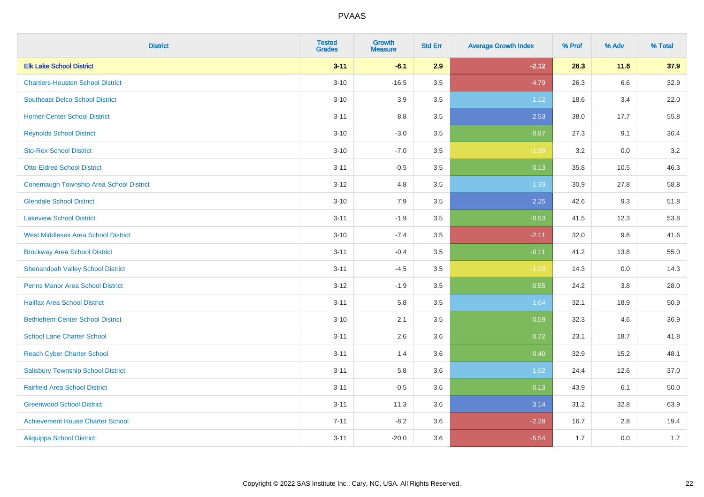| <b>District</b>                            | <b>Tested</b><br><b>Grades</b> | <b>Growth</b><br><b>Measure</b> | <b>Std Err</b> | <b>Average Growth Index</b> | % Prof | % Adv   | % Total |
|--------------------------------------------|--------------------------------|---------------------------------|----------------|-----------------------------|--------|---------|---------|
| <b>Elk Lake School District</b>            | $3 - 11$                       | $-6.1$                          | 2.9            | $-2.12$                     | 26.3   | 11.6    | 37.9    |
| <b>Chartiers-Houston School District</b>   | $3 - 10$                       | $-16.5$                         | 3.5            | $-4.79$                     | 26.3   | $6.6\,$ | 32.9    |
| <b>Southeast Delco School District</b>     | $3 - 10$                       | 3.9                             | 3.5            | 1.12                        | 18.6   | 3.4     | 22.0    |
| <b>Homer-Center School District</b>        | $3 - 11$                       | $8.8\,$                         | 3.5            | 2.53                        | 38.0   | 17.7    | 55.8    |
| <b>Reynolds School District</b>            | $3 - 10$                       | $-3.0$                          | 3.5            | $-0.87$                     | 27.3   | 9.1     | 36.4    |
| <b>Sto-Rox School District</b>             | $3 - 10$                       | $-7.0$                          | 3.5            | $-1.99$                     | 3.2    | 0.0     | 3.2     |
| <b>Otto-Eldred School District</b>         | $3 - 11$                       | $-0.5$                          | 3.5            | $-0.13$                     | 35.8   | 10.5    | 46.3    |
| Conemaugh Township Area School District    | $3 - 12$                       | 4.8                             | 3.5            | 1.39                        | 30.9   | 27.8    | 58.8    |
| <b>Glendale School District</b>            | $3 - 10$                       | 7.9                             | 3.5            | 2.25                        | 42.6   | 9.3     | 51.8    |
| <b>Lakeview School District</b>            | $3 - 11$                       | $-1.9$                          | 3.5            | $-0.53$                     | 41.5   | 12.3    | 53.8    |
| <b>West Middlesex Area School District</b> | $3 - 10$                       | $-7.4$                          | 3.5            | $-2.11$                     | 32.0   | 9.6     | 41.6    |
| <b>Brockway Area School District</b>       | $3 - 11$                       | $-0.4$                          | 3.5            | $-0.11$                     | 41.2   | 13.8    | 55.0    |
| <b>Shenandoah Valley School District</b>   | $3 - 11$                       | $-4.5$                          | 3.5            | $-1.29$                     | 14.3   | 0.0     | 14.3    |
| <b>Penns Manor Area School District</b>    | $3 - 12$                       | $-1.9$                          | 3.5            | $-0.55$                     | 24.2   | $3.8\,$ | 28.0    |
| <b>Halifax Area School District</b>        | $3 - 11$                       | 5.8                             | 3.5            | 1.64                        | 32.1   | 18.9    | 50.9    |
| <b>Bethlehem-Center School District</b>    | $3 - 10$                       | 2.1                             | 3.5            | 0.59                        | 32.3   | 4.6     | 36.9    |
| <b>School Lane Charter School</b>          | $3 - 11$                       | 2.6                             | 3.6            | 0.72                        | 23.1   | 18.7    | 41.8    |
| <b>Reach Cyber Charter School</b>          | $3 - 11$                       | 1.4                             | 3.6            | 0.40                        | 32.9   | 15.2    | 48.1    |
| <b>Salisbury Township School District</b>  | $3 - 11$                       | 5.8                             | 3.6            | 1.62                        | 24.4   | 12.6    | 37.0    |
| <b>Fairfield Area School District</b>      | $3 - 11$                       | $-0.5$                          | 3.6            | $-0.13$                     | 43.9   | 6.1     | 50.0    |
| <b>Greenwood School District</b>           | $3 - 11$                       | 11.3                            | 3.6            | 3.14                        | 31.2   | 32.8    | 63.9    |
| <b>Achievement House Charter School</b>    | $7 - 11$                       | $-8.2$                          | 3.6            | $-2.28$                     | 16.7   | 2.8     | 19.4    |
| <b>Aliquippa School District</b>           | $3 - 11$                       | $-20.0$                         | 3.6            | $-5.54$                     | 1.7    | 0.0     | 1.7     |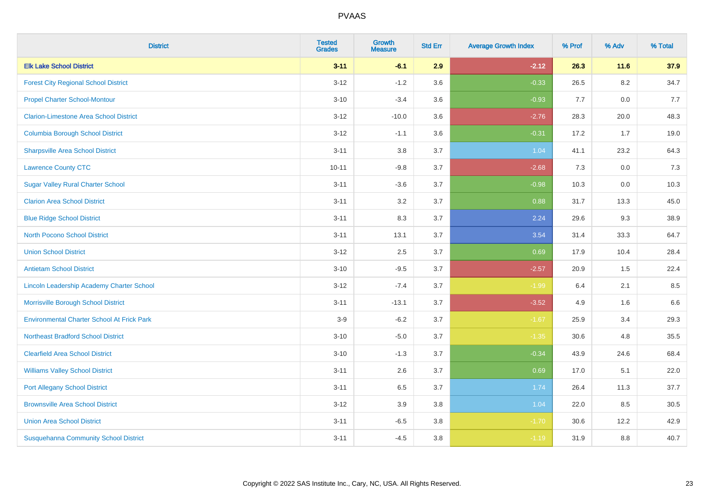| <b>District</b>                                   | <b>Tested</b><br><b>Grades</b> | <b>Growth</b><br><b>Measure</b> | <b>Std Err</b> | <b>Average Growth Index</b> | % Prof | % Adv   | % Total |
|---------------------------------------------------|--------------------------------|---------------------------------|----------------|-----------------------------|--------|---------|---------|
| <b>Elk Lake School District</b>                   | $3 - 11$                       | $-6.1$                          | 2.9            | $-2.12$                     | 26.3   | 11.6    | 37.9    |
| <b>Forest City Regional School District</b>       | $3 - 12$                       | $-1.2$                          | 3.6            | $-0.33$                     | 26.5   | $8.2\,$ | 34.7    |
| <b>Propel Charter School-Montour</b>              | $3 - 10$                       | $-3.4$                          | 3.6            | $-0.93$                     | 7.7    | 0.0     | 7.7     |
| <b>Clarion-Limestone Area School District</b>     | $3 - 12$                       | $-10.0$                         | 3.6            | $-2.76$                     | 28.3   | 20.0    | 48.3    |
| <b>Columbia Borough School District</b>           | $3 - 12$                       | $-1.1$                          | 3.6            | $-0.31$                     | 17.2   | 1.7     | 19.0    |
| <b>Sharpsville Area School District</b>           | $3 - 11$                       | 3.8                             | 3.7            | 1.04                        | 41.1   | 23.2    | 64.3    |
| <b>Lawrence County CTC</b>                        | $10 - 11$                      | $-9.8$                          | 3.7            | $-2.68$                     | 7.3    | 0.0     | 7.3     |
| <b>Sugar Valley Rural Charter School</b>          | $3 - 11$                       | $-3.6$                          | 3.7            | $-0.98$                     | 10.3   | 0.0     | 10.3    |
| <b>Clarion Area School District</b>               | $3 - 11$                       | 3.2                             | 3.7            | 0.88                        | 31.7   | 13.3    | 45.0    |
| <b>Blue Ridge School District</b>                 | $3 - 11$                       | 8.3                             | 3.7            | 2.24                        | 29.6   | 9.3     | 38.9    |
| <b>North Pocono School District</b>               | $3 - 11$                       | 13.1                            | 3.7            | 3.54                        | 31.4   | 33.3    | 64.7    |
| <b>Union School District</b>                      | $3 - 12$                       | 2.5                             | 3.7            | 0.69                        | 17.9   | 10.4    | 28.4    |
| <b>Antietam School District</b>                   | $3 - 10$                       | $-9.5$                          | 3.7            | $-2.57$                     | 20.9   | $1.5\,$ | 22.4    |
| Lincoln Leadership Academy Charter School         | $3 - 12$                       | $-7.4$                          | 3.7            | $-1.99$                     | 6.4    | 2.1     | 8.5     |
| Morrisville Borough School District               | $3 - 11$                       | $-13.1$                         | 3.7            | $-3.52$                     | 4.9    | 1.6     | 6.6     |
| <b>Environmental Charter School At Frick Park</b> | $3-9$                          | $-6.2$                          | 3.7            | $-1.67$                     | 25.9   | 3.4     | 29.3    |
| <b>Northeast Bradford School District</b>         | $3 - 10$                       | $-5.0$                          | 3.7            | $-1.35$                     | 30.6   | 4.8     | 35.5    |
| <b>Clearfield Area School District</b>            | $3 - 10$                       | $-1.3$                          | 3.7            | $-0.34$                     | 43.9   | 24.6    | 68.4    |
| <b>Williams Valley School District</b>            | $3 - 11$                       | 2.6                             | 3.7            | 0.69                        | 17.0   | 5.1     | 22.0    |
| <b>Port Allegany School District</b>              | $3 - 11$                       | 6.5                             | 3.7            | 1.74                        | 26.4   | 11.3    | 37.7    |
| <b>Brownsville Area School District</b>           | $3 - 12$                       | 3.9                             | 3.8            | 1.04                        | 22.0   | 8.5     | 30.5    |
| <b>Union Area School District</b>                 | $3 - 11$                       | $-6.5$                          | 3.8            | $-1.70$                     | 30.6   | 12.2    | 42.9    |
| <b>Susquehanna Community School District</b>      | $3 - 11$                       | $-4.5$                          | 3.8            | $-1.19$                     | 31.9   | 8.8     | 40.7    |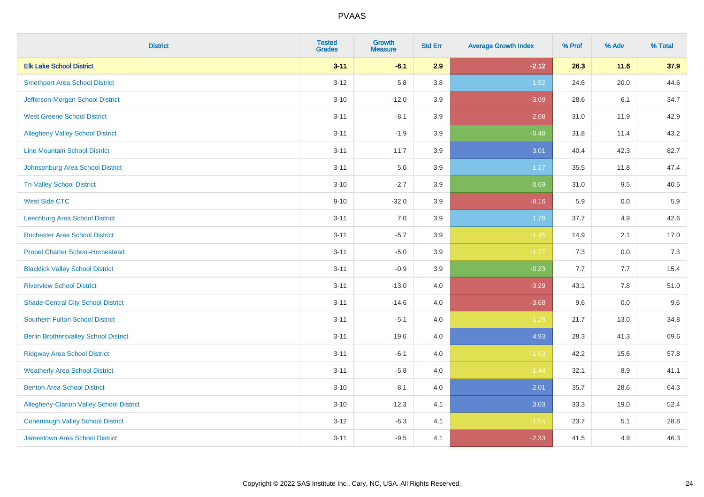| <b>District</b>                              | <b>Tested</b><br><b>Grades</b> | <b>Growth</b><br><b>Measure</b> | <b>Std Err</b> | <b>Average Growth Index</b> | % Prof | % Adv   | % Total |
|----------------------------------------------|--------------------------------|---------------------------------|----------------|-----------------------------|--------|---------|---------|
| <b>Elk Lake School District</b>              | $3 - 11$                       | $-6.1$                          | 2.9            | $-2.12$                     | 26.3   | 11.6    | 37.9    |
| <b>Smethport Area School District</b>        | $3 - 12$                       | 5.8                             | 3.8            | $1.52$                      | 24.6   | 20.0    | 44.6    |
| Jefferson-Morgan School District             | $3 - 10$                       | $-12.0$                         | 3.9            | $-3.09$                     | 28.6   | 6.1     | 34.7    |
| <b>West Greene School District</b>           | $3 - 11$                       | $-8.1$                          | 3.9            | $-2.08$                     | 31.0   | 11.9    | 42.9    |
| <b>Allegheny Valley School District</b>      | $3 - 11$                       | $-1.9$                          | 3.9            | $-0.48$                     | 31.8   | 11.4    | 43.2    |
| <b>Line Mountain School District</b>         | $3 - 11$                       | 11.7                            | 3.9            | 3.01                        | 40.4   | 42.3    | 82.7    |
| Johnsonburg Area School District             | $3 - 11$                       | 5.0                             | 3.9            | 1.27                        | 35.5   | 11.8    | 47.4    |
| <b>Tri-Valley School District</b>            | $3 - 10$                       | $-2.7$                          | 3.9            | $-0.69$                     | 31.0   | 9.5     | 40.5    |
| <b>West Side CTC</b>                         | $9 - 10$                       | $-32.0$                         | 3.9            | $-8.16$                     | 5.9    | 0.0     | 5.9     |
| <b>Leechburg Area School District</b>        | $3 - 11$                       | 7.0                             | 3.9            | 1.79                        | 37.7   | 4.9     | 42.6    |
| <b>Rochester Area School District</b>        | $3 - 11$                       | $-5.7$                          | 3.9            | $-1.45$                     | 14.9   | 2.1     | 17.0    |
| <b>Propel Charter School-Homestead</b>       | $3 - 11$                       | $-5.0$                          | 3.9            | $-1.27$                     | 7.3    | 0.0     | 7.3     |
| <b>Blacklick Valley School District</b>      | $3 - 11$                       | $-0.9$                          | 3.9            | $-0.23$                     | 7.7    | 7.7     | 15.4    |
| <b>Riverview School District</b>             | $3 - 11$                       | $-13.0$                         | 4.0            | $-3.29$                     | 43.1   | $7.8\,$ | 51.0    |
| <b>Shade-Central City School District</b>    | $3 - 11$                       | $-14.6$                         | 4.0            | $-3.68$                     | 9.6    | 0.0     | 9.6     |
| <b>Southern Fulton School District</b>       | $3 - 11$                       | $-5.1$                          | 4.0            | $-1.29$                     | 21.7   | 13.0    | 34.8    |
| <b>Berlin Brothersvalley School District</b> | $3 - 11$                       | 19.6                            | 4.0            | 4.93                        | 28.3   | 41.3    | 69.6    |
| <b>Ridgway Area School District</b>          | $3 - 11$                       | $-6.1$                          | 4.0            | $-1.53$                     | 42.2   | 15.6    | 57.8    |
| <b>Weatherly Area School District</b>        | $3 - 11$                       | $-5.8$                          | 4.0            | $-1.44$                     | 32.1   | $8.9\,$ | 41.1    |
| <b>Benton Area School District</b>           | $3 - 10$                       | 8.1                             | 4.0            | 2.01                        | 35.7   | 28.6    | 64.3    |
| Allegheny-Clarion Valley School District     | $3 - 10$                       | 12.3                            | 4.1            | 3.03                        | 33.3   | 19.0    | 52.4    |
| <b>Conemaugh Valley School District</b>      | $3 - 12$                       | $-6.3$                          | 4.1            | $-1.54$                     | 23.7   | 5.1     | 28.8    |
| Jamestown Area School District               | $3 - 11$                       | $-9.5$                          | 4.1            | $-2.33$                     | 41.5   | 4.9     | 46.3    |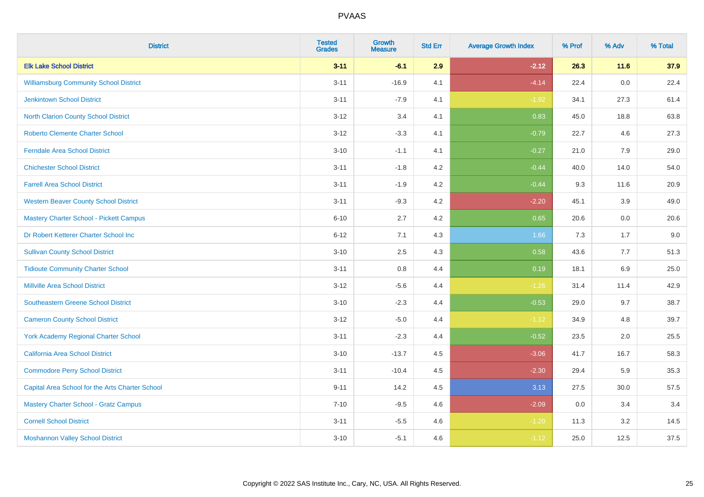| <b>District</b>                                 | <b>Tested</b><br><b>Grades</b> | <b>Growth</b><br><b>Measure</b> | <b>Std Err</b> | <b>Average Growth Index</b> | % Prof | % Adv | % Total |
|-------------------------------------------------|--------------------------------|---------------------------------|----------------|-----------------------------|--------|-------|---------|
| <b>Elk Lake School District</b>                 | $3 - 11$                       | $-6.1$                          | 2.9            | $-2.12$                     | 26.3   | 11.6  | 37.9    |
| <b>Williamsburg Community School District</b>   | $3 - 11$                       | $-16.9$                         | 4.1            | $-4.14$                     | 22.4   | 0.0   | 22.4    |
| <b>Jenkintown School District</b>               | $3 - 11$                       | $-7.9$                          | 4.1            | $-1.92$                     | 34.1   | 27.3  | 61.4    |
| North Clarion County School District            | $3 - 12$                       | 3.4                             | 4.1            | 0.83                        | 45.0   | 18.8  | 63.8    |
| <b>Roberto Clemente Charter School</b>          | $3 - 12$                       | $-3.3$                          | 4.1            | $-0.79$                     | 22.7   | 4.6   | 27.3    |
| <b>Ferndale Area School District</b>            | $3 - 10$                       | $-1.1$                          | 4.1            | $-0.27$                     | 21.0   | 7.9   | 29.0    |
| <b>Chichester School District</b>               | $3 - 11$                       | $-1.8$                          | 4.2            | $-0.44$                     | 40.0   | 14.0  | 54.0    |
| <b>Farrell Area School District</b>             | $3 - 11$                       | $-1.9$                          | 4.2            | $-0.44$                     | 9.3    | 11.6  | 20.9    |
| <b>Western Beaver County School District</b>    | $3 - 11$                       | $-9.3$                          | 4.2            | $-2.20$                     | 45.1   | 3.9   | 49.0    |
| <b>Mastery Charter School - Pickett Campus</b>  | $6 - 10$                       | 2.7                             | 4.2            | 0.65                        | 20.6   | 0.0   | 20.6    |
| Dr Robert Ketterer Charter School Inc           | $6 - 12$                       | 7.1                             | 4.3            | 1.66                        | 7.3    | 1.7   | 9.0     |
| <b>Sullivan County School District</b>          | $3 - 10$                       | 2.5                             | 4.3            | 0.58                        | 43.6   | 7.7   | 51.3    |
| <b>Tidioute Community Charter School</b>        | $3 - 11$                       | 0.8                             | 4.4            | 0.19                        | 18.1   | 6.9   | 25.0    |
| <b>Millville Area School District</b>           | $3 - 12$                       | $-5.6$                          | 4.4            | $-1.26$                     | 31.4   | 11.4  | 42.9    |
| <b>Southeastern Greene School District</b>      | $3 - 10$                       | $-2.3$                          | 4.4            | $-0.53$                     | 29.0   | 9.7   | 38.7    |
| <b>Cameron County School District</b>           | $3 - 12$                       | $-5.0$                          | 4.4            | $-1.12$                     | 34.9   | 4.8   | 39.7    |
| <b>York Academy Regional Charter School</b>     | $3 - 11$                       | $-2.3$                          | 4.4            | $-0.52$                     | 23.5   | 2.0   | 25.5    |
| California Area School District                 | $3 - 10$                       | $-13.7$                         | 4.5            | $-3.06$                     | 41.7   | 16.7  | 58.3    |
| <b>Commodore Perry School District</b>          | $3 - 11$                       | $-10.4$                         | 4.5            | $-2.30$                     | 29.4   | 5.9   | 35.3    |
| Capital Area School for the Arts Charter School | $9 - 11$                       | 14.2                            | 4.5            | 3.13                        | 27.5   | 30.0  | 57.5    |
| <b>Mastery Charter School - Gratz Campus</b>    | $7 - 10$                       | $-9.5$                          | 4.6            | $-2.09$                     | 0.0    | 3.4   | 3.4     |
| <b>Cornell School District</b>                  | $3 - 11$                       | $-5.5$                          | 4.6            | $-1.20$                     | 11.3   | 3.2   | 14.5    |
| <b>Moshannon Valley School District</b>         | $3 - 10$                       | $-5.1$                          | 4.6            | $-1.12$                     | 25.0   | 12.5  | 37.5    |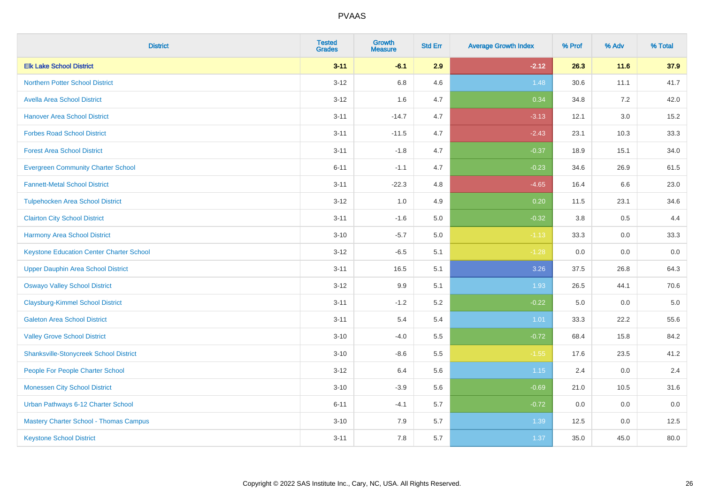| <b>District</b>                                 | <b>Tested</b><br><b>Grades</b> | <b>Growth</b><br><b>Measure</b> | <b>Std Err</b> | <b>Average Growth Index</b> | % Prof | % Adv   | % Total |
|-------------------------------------------------|--------------------------------|---------------------------------|----------------|-----------------------------|--------|---------|---------|
| <b>Elk Lake School District</b>                 | $3 - 11$                       | $-6.1$                          | 2.9            | $-2.12$                     | 26.3   | 11.6    | 37.9    |
| <b>Northern Potter School District</b>          | $3 - 12$                       | $6.8\,$                         | 4.6            | 1.48                        | 30.6   | 11.1    | 41.7    |
| <b>Avella Area School District</b>              | $3 - 12$                       | 1.6                             | 4.7            | 0.34                        | 34.8   | 7.2     | 42.0    |
| <b>Hanover Area School District</b>             | $3 - 11$                       | $-14.7$                         | 4.7            | $-3.13$                     | 12.1   | 3.0     | 15.2    |
| <b>Forbes Road School District</b>              | $3 - 11$                       | $-11.5$                         | 4.7            | $-2.43$                     | 23.1   | 10.3    | 33.3    |
| <b>Forest Area School District</b>              | $3 - 11$                       | $-1.8$                          | 4.7            | $-0.37$                     | 18.9   | 15.1    | 34.0    |
| <b>Evergreen Community Charter School</b>       | $6 - 11$                       | $-1.1$                          | 4.7            | $-0.23$                     | 34.6   | 26.9    | 61.5    |
| <b>Fannett-Metal School District</b>            | $3 - 11$                       | $-22.3$                         | 4.8            | $-4.65$                     | 16.4   | 6.6     | 23.0    |
| <b>Tulpehocken Area School District</b>         | $3 - 12$                       | 1.0                             | 4.9            | 0.20                        | 11.5   | 23.1    | 34.6    |
| <b>Clairton City School District</b>            | $3 - 11$                       | $-1.6$                          | 5.0            | $-0.32$                     | 3.8    | 0.5     | 4.4     |
| <b>Harmony Area School District</b>             | $3 - 10$                       | $-5.7$                          | 5.0            | $-1.13$                     | 33.3   | 0.0     | 33.3    |
| <b>Keystone Education Center Charter School</b> | $3 - 12$                       | $-6.5$                          | 5.1            | $-1.28$                     | 0.0    | 0.0     | 0.0     |
| <b>Upper Dauphin Area School District</b>       | $3 - 11$                       | 16.5                            | 5.1            | 3.26                        | 37.5   | 26.8    | 64.3    |
| <b>Oswayo Valley School District</b>            | $3 - 12$                       | 9.9                             | 5.1            | 1.93                        | 26.5   | 44.1    | 70.6    |
| <b>Claysburg-Kimmel School District</b>         | $3 - 11$                       | $-1.2$                          | 5.2            | $-0.22$                     | 5.0    | 0.0     | $5.0\,$ |
| <b>Galeton Area School District</b>             | $3 - 11$                       | 5.4                             | 5.4            | 1.01                        | 33.3   | 22.2    | 55.6    |
| <b>Valley Grove School District</b>             | $3 - 10$                       | $-4.0$                          | 5.5            | $-0.72$                     | 68.4   | 15.8    | 84.2    |
| <b>Shanksville-Stonycreek School District</b>   | $3 - 10$                       | $-8.6$                          | 5.5            | $-1.55$                     | 17.6   | 23.5    | 41.2    |
| People For People Charter School                | $3 - 12$                       | 6.4                             | 5.6            | 1.15                        | 2.4    | 0.0     | 2.4     |
| <b>Monessen City School District</b>            | $3 - 10$                       | $-3.9$                          | 5.6            | $-0.69$                     | 21.0   | 10.5    | 31.6    |
| Urban Pathways 6-12 Charter School              | $6 - 11$                       | $-4.1$                          | 5.7            | $-0.72$                     | 0.0    | 0.0     | 0.0     |
| <b>Mastery Charter School - Thomas Campus</b>   | $3 - 10$                       | 7.9                             | 5.7            | 1.39                        | 12.5   | $0.0\,$ | 12.5    |
| <b>Keystone School District</b>                 | $3 - 11$                       | 7.8                             | 5.7            | 1.37                        | 35.0   | 45.0    | 80.0    |